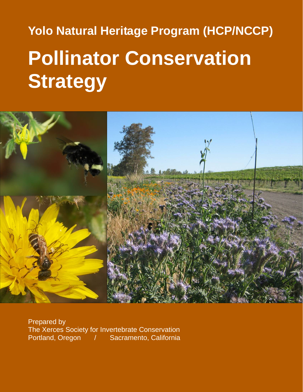# **Yolo Natural Heritage Program (HCP/NCCP) Pollinator Conservation Strategy**



Prepared by The Xerces Society for Invertebrate Conservation Portland, Oregon / Sacramento, California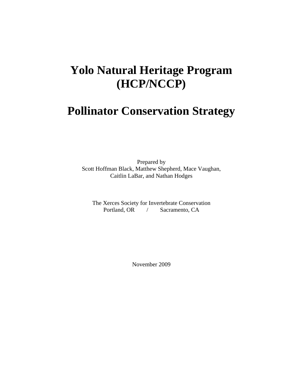# **Yolo Natural Heritage Program (HCP/NCCP)**

# **Pollinator Conservation Strategy**

Prepared by Scott Hoffman Black, Matthew Shepherd, Mace Vaughan, Caitlin LaBar, and Nathan Hodges

The Xerces Society for Invertebrate Conservation Portland, OR / Sacramento, CA

November 2009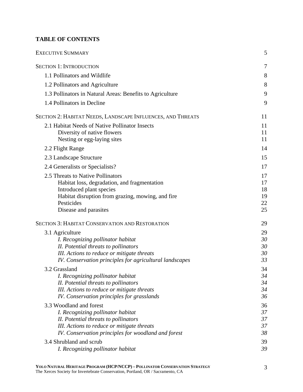# **TABLE OF CONTENTS**

| <b>EXECUTIVE SUMMARY</b>                                                  |                |  |
|---------------------------------------------------------------------------|----------------|--|
| <b>SECTION 1: INTRODUCTION</b>                                            | $\overline{7}$ |  |
| 1.1 Pollinators and Wildlife                                              | 8              |  |
| 1.2 Pollinators and Agriculture                                           | 8              |  |
| 1.3 Pollinators in Natural Areas: Benefits to Agriculture                 | 9              |  |
| 1.4 Pollinators in Decline                                                | 9              |  |
| SECTION 2: HABITAT NEEDS, LANDSCAPE INFLUENCES, AND THREATS               | 11             |  |
| 2.1 Habitat Needs of Native Pollinator Insects                            | 11             |  |
| Diversity of native flowers                                               | 11             |  |
| Nesting or egg-laying sites                                               | 11             |  |
| 2.2 Flight Range                                                          | 14             |  |
| 2.3 Landscape Structure                                                   | 15             |  |
| 2.4 Generalists or Specialists?                                           | 17             |  |
| 2.5 Threats to Native Pollinators                                         | 17             |  |
| Habitat loss, degradation, and fragmentation                              | 17             |  |
| Introduced plant species                                                  | 18             |  |
| Habitat disruption from grazing, mowing, and fire                         | 19             |  |
| Pesticides                                                                | 22<br>25       |  |
| Disease and parasites                                                     |                |  |
| <b>SECTION 3: HABITAT CONSERVATION AND RESTORATION</b>                    | 29             |  |
| 3.1 Agriculture                                                           | 29             |  |
| I. Recognizing pollinator habitat                                         | 30             |  |
| II. Potential threats to pollinators                                      | 30             |  |
| III. Actions to reduce or mitigate threats                                | 30<br>33       |  |
| IV. Conservation principles for agricultural landscapes                   |                |  |
| 3.2 Grassland                                                             | 34             |  |
| I. Recognizing pollinator habitat<br>II. Potential threats to pollinators | 34<br>34       |  |
| III. Actions to reduce or mitigate threats                                | 34             |  |
| IV. Conservation principles for grasslands                                | 36             |  |
| 3.3 Woodland and forest                                                   | 36             |  |
| I. Recognizing pollinator habitat                                         | 37             |  |
| II. Potential threats to pollinators                                      | 37             |  |
| III. Actions to reduce or mitigate threats                                | 37             |  |
| IV. Conservation principles for woodland and forest                       | 38             |  |
| 3.4 Shrubland and scrub                                                   | 39             |  |
| I. Recognizing pollinator habitat                                         | 39             |  |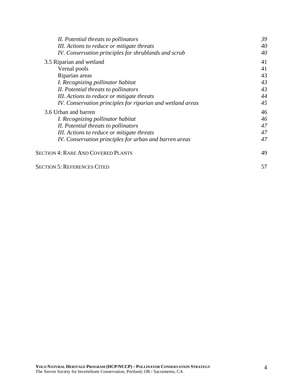| II. Potential threats to pollinators                       | 39 |
|------------------------------------------------------------|----|
| III. Actions to reduce or mitigate threats                 | 40 |
| IV. Conservation principles for shrublands and scrub       | 40 |
| 3.5 Riparian and wetland                                   | 41 |
| Vernal pools                                               | 41 |
| Riparian areas                                             | 43 |
| I. Recognizing pollinator habitat                          | 43 |
| II. Potential threats to pollinators                       | 43 |
| III. Actions to reduce or mitigate threats                 | 44 |
| IV. Conservation principles for riparian and wetland areas | 45 |
| 3.6 Urban and barren                                       | 46 |
| I. Recognizing pollinator habitat                          | 46 |
| II. Potential threats to pollinators                       | 47 |
| III. Actions to reduce or mitigate threats                 | 47 |
| IV. Conservation principles for urban and barren areas     | 47 |
| <b>SECTION 4: RARE AND COVERED PLANTS</b>                  | 49 |
| <b>SECTION 5: REFERENCES CITED</b>                         | 57 |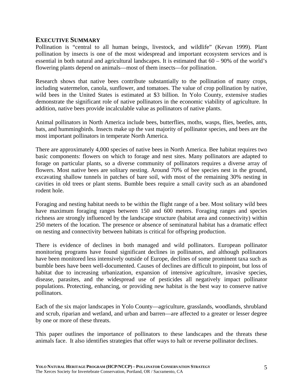#### **EXECUTIVE SUMMARY**

Pollination is "central to all human beings, livestock, and wildlife" (Kevan 1999). Plant pollination by insects is one of the most widespread and important ecosystem services and is essential in both natural and agricultural landscapes. It is estimated that 60 – 90% of the world's flowering plants depend on animals—most of them insects—for pollination.

Research shows that native bees contribute substantially to the pollination of many crops, including watermelon, canola, sunflower, and tomatoes. The value of crop pollination by native, wild bees in the United States is estimated at \$3 billion. In Yolo County, extensive studies demonstrate the significant role of native pollinators in the economic viability of agriculture. In addition, native bees provide incalculable value as pollinators of native plants.

Animal pollinators in North America include bees, butterflies, moths, wasps, flies, beetles, ants, bats, and hummingbirds. Insects make up the vast majority of pollinator species, and bees are the most important pollinators in temperate North America.

There are approximately 4,000 species of native bees in North America. Bee habitat requires two basic components: flowers on which to forage and nest sites. Many pollinators are adapted to forage on particular plants, so a diverse community of pollinators requires a diverse array of flowers. Most native bees are solitary nesting. Around 70% of bee species nest in the ground, excavating shallow tunnels in patches of bare soil, with most of the remaining 30% nesting in cavities in old trees or plant stems. Bumble bees require a small cavity such as an abandoned rodent hole.

Foraging and nesting habitat needs to be within the flight range of a bee. Most solitary wild bees have maximum foraging ranges between 150 and 600 meters. Foraging ranges and species richness are strongly influenced by the landscape structure (habitat area and connectivity) within 250 meters of the location. The presence or absence of seminatural habitat has a dramatic effect on nesting and connectivity between habitats is critical for offspring production.

There is evidence of declines in both managed and wild pollinators. European pollinator monitoring programs have found significant declines in pollinators, and although pollinators have been monitored less intensively outside of Europe, declines of some prominent taxa such as bumble bees have been well-documented. Causes of declines are difficult to pinpoint, but loss of habitat due to increasing urbanization, expansion of intensive agriculture, invasive species, disease, parasites, and the widespread use of pesticides all negatively impact pollinator populations. Protecting, enhancing, or providing new habitat is the best way to conserve native pollinators.

Each of the six major landscapes in Yolo County—agriculture, grasslands, woodlands, shrubland and scrub, riparian and wetland, and urban and barren—are affected to a greater or lesser degree by one or more of these threats.

This paper outlines the importance of pollinators to these landscapes and the threats these animals face. It also identifies strategies that offer ways to halt or reverse pollinator declines.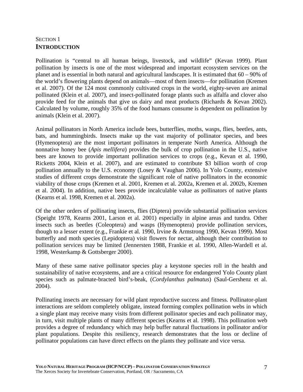# SECTION 1 **INTRODUCTION**

Pollination is "central to all human beings, livestock, and wildlife" (Kevan 1999). Plant pollination by insects is one of the most widespread and important ecosystem services on the planet and is essential in both natural and agricultural landscapes. It is estimated that 60 – 90% of the world's flowering plants depend on animals—most of them insects—for pollination (Kremen et al. 2007). Of the 124 most commonly cultivated crops in the world, eighty-seven are animal pollinated (Klein et al. 2007), and insect-pollinated forage plants such as alfalfa and clover also provide feed for the animals that give us dairy and meat products (Richards & Kevan 2002). Calculated by volume, roughly 35% of the food humans consume is dependent on pollination by animals (Klein et al. 2007).

Animal pollinators in North America include bees, butterflies, moths, wasps, flies, beetles, ants, bats, and hummingbirds. Insects make up the vast majority of pollinator species, and bees (Hymenoptera) are the most important pollinators in temperate North America. Although the nonnative honey bee (*Apis mellifera*) provides the bulk of crop pollination in the U.S., native bees are known to provide important pollination services to crops (e.g., Kevan et al. 1990, Ricketts 2004, Klein et al. 2007), and are estimated to contribute \$3 billion worth of crop pollination annually to the U.S. economy (Losey & Vaughan 2006). In Yolo County, extensive studies of different crops demonstrate the significant role of native pollinators in the economic viability of those crops (Kremen et al. 2001, Kremen et al. 2002a, Kremen et al. 2002b, Kremen et al. 2004). In addition, native bees provide incalculable value as pollinators of native plants (Kearns et al. 1998, Kremen et al. 2002a).

Of the other orders of pollinating insects, flies (Diptera) provide substantial pollination services (Speight 1978, Kearns 2001, Larson et al. 2001) especially in alpine areas and tundra. Other insects such as beetles (Coleoptera) and wasps (Hymenoptera) provide pollination services, though to a lesser extent (e.g., Frankie et al. 1990, Irvine & Armstrong 1990, Kevan 1999). Most butterfly and moth species (Lepidoptera) visit flowers for nectar, although their contribution to pollination services may be limited (Jennersten 1988, Frankie et al. 1990, Allen-Wardell et al. 1998, Westerkamp & Gottsberger 2000).

Many of these same native pollinator species play a keystone species roll in the health and sustainability of native ecosystems, and are a critical resource for endangered Yolo County plant species such as palmate-bracted bird's-beak, (*Cordylanthus palmatus*) (Saul-Gershenz et al. 2004).

Pollinating insects are necessary for wild plant reproductive success and fitness. Pollinator-plant interactions are seldom completely obligate, instead forming complex pollination webs in which a single plant may receive many visits from different pollinator species and each pollinator may, in turn, visit multiple plants of many different species (Kearns et al. 1998). This pollination web provides a degree of redundancy which may help buffer natural fluctuations in pollinator and/or plant populations. Despite this resiliency, research demonstrates that the loss or decline of pollinator populations can have direct effects on the plants they pollinate and vice versa.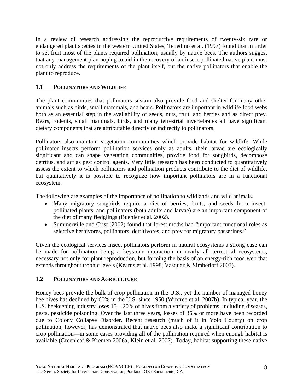In a review of research addressing the reproductive requirements of twenty-six rare or endangered plant species in the western United States, Tepedino et al. (1997) found that in order to set fruit most of the plants required pollination, usually by native bees. The authors suggest that any management plan hoping to aid in the recovery of an insect pollinated native plant must not only address the requirements of the plant itself, but the native pollinators that enable the plant to reproduce.

## **1.1 POLLINATORS AND WILDLIFE**

The plant communities that pollinators sustain also provide food and shelter for many other animals such as birds, small mammals, and bears. Pollinators are important in wildlife food webs both as an essential step in the availability of seeds, nuts, fruit, and berries and as direct prey. Bears, rodents, small mammals, birds, and many terrestrial invertebrates all have significant dietary components that are attributable directly or indirectly to pollinators.

Pollinators also maintain vegetation communities which provide habitat for wildlife. While pollinator insects perform pollination services only as adults, their larvae are ecologically significant and can shape vegetation communities, provide food for songbirds, decompose detritus, and act as pest control agents. Very little research has been conducted to quantitatively assess the extent to which pollinators and pollination products contribute to the diet of wildlife, but qualitatively it is possible to recognize how important pollinators are in a functional ecosystem.

The following are examples of the importance of pollination to wildlands and wild animals.

- Many migratory songbirds require a diet of berries, fruits, and seeds from insectpollinated plants, and pollinators (both adults and larvae) are an important component of the diet of many fledglings (Buehler et al. 2002).
- Summerville and Crist (2002) found that forest moths had "important functional roles as selective herbivores, pollinators, detritivores, and prey for migratory passerines."

Given the ecological services insect pollinators perform in natural ecosystems a strong case can be made for pollination being a keystone interaction in nearly all terrestrial ecosystems, necessary not only for plant reproduction, but forming the basis of an energy-rich food web that extends throughout trophic levels (Kearns et al. 1998, Vasquez & Simberloff 2003).

#### **1.2 POLLINATORS AND AGRICULTURE**

Honey bees provide the bulk of crop pollination in the U.S., yet the number of managed honey bee hives has declined by 60% in the U.S. since 1950 (Winfree et al. 2007b). In typical year, the U.S. beekeeping industry loses  $15 - 20\%$  of hives from a variety of problems, including diseases, pests, pesticide poisoning. Over the last three years, losses of 35% or more have been recorded due to Colony Collapse Disorder. Recent research (much of it in Yolo County) on crop pollination, however, has demonstrated that native bees also make a significant contribution to crop pollination—in some cases providing all of the pollination required when enough habitat is available (Greenleaf & Kremen 2006a, Klein et al. 2007). Today, habitat supporting these native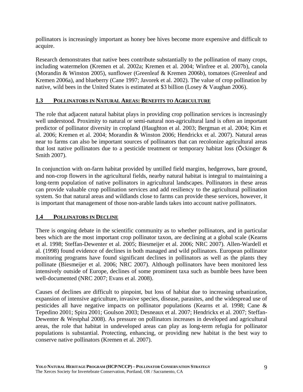pollinators is increasingly important as honey bee hives become more expensive and difficult to acquire.

Research demonstrates that native bees contribute substantially to the pollination of many crops, including watermelon (Kremen et al. 2002a; Kremen et al. 2004; Winfree et al. 2007b), canola (Morandin & Winston 2005), sunflower (Greenleaf & Kremen 2006b), tomatoes (Greenleaf and Kremen 2006a), and blueberry (Cane 1997; Javorek et al. 2002). The value of crop pollination by native, wild bees in the United States is estimated at \$3 billion (Losey & Vaughan 2006).

#### **1.3 POLLINATORS IN NATURAL AREAS: BENEFITS TO AGRICULTURE**

The role that adjacent natural habitat plays in providing crop pollination services is increasingly well understood. Proximity to natural or semi-natural non-agricultural land is often an important predictor of pollinator diversity in cropland (Haughton et al. 2003; Bergman et al. 2004; Kim et al. 2006; Kremen et al. 2004; Morandin & Winston 2006; Hendrickx et al. 2007). Natural areas near to farms can also be important sources of pollinators that can recolonize agricultural areas that lost native pollinators due to a pesticide treatment or temporary habitat loss (Ockinger  $\&$ Smith 2007).

In conjunction with on-farm habitat provided by untilled field margins, hedgerows, bare ground, and non-crop flowers in the agricultural fields, nearby natural habitat is integral to maintaining a long-term population of native pollinators in agricultural landscapes. Pollinators in these areas can provide valuable crop pollination services and add resiliency to the agricultural pollination system. So that natural areas and wildlands close to farms can provide these services, however, it is important that management of those non-arable lands takes into account native pollinators.

#### **1.4 POLLINATORS IN DECLINE**

There is ongoing debate in the scientific community as to whether pollinators, and in particular bees which are the most important crop pollinator taxon, are declining at a global scale (Kearns et al. 1998; Steffan-Dewenter et al. 2005; Biesmeijer et al. 2006; NRC 2007). Allen-Wardell et al. (1998) found evidence of declines in both managed and wild pollinators. European pollinator monitoring programs have found significant declines in pollinators as well as the plants they pollinate (Biesmeijer et al. 2006; NRC 2007). Although pollinators have been monitored less intensively outside of Europe, declines of some prominent taxa such as bumble bees have been well-documented (NRC 2007; Evans et al. 2008).

Causes of declines are difficult to pinpoint, but loss of habitat due to increasing urbanization, expansion of intensive agriculture, invasive species, disease, parasites, and the widespread use of pesticides all have negative impacts on pollinator populations (Kearns et al. 1998; Cane & Tepedino 2001; Spira 2001; Goulson 2003; Desneaux et al. 2007; Hendrickx et al. 2007; Steffan-Dewenter & Westphal 2008). As pressure on pollinators increases in developed and agricultural areas, the role that habitat in undeveloped areas can play as long-term refugia for pollinator populations is substantial. Protecting, enhancing, or providing new habitat is the best way to conserve native pollinators (Kremen et al. 2007).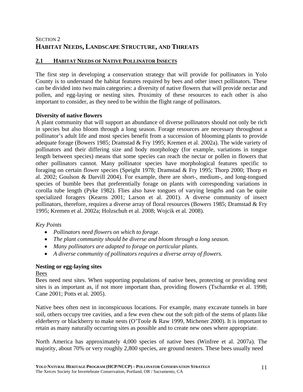# SECTION 2 **HABITAT NEEDS, LANDSCAPE STRUCTURE, AND THREATS**

# **2.1 HABITAT NEEDS OF NATIVE POLLINATOR INSECTS**

The first step in developing a conservation strategy that will provide for pollinators in Yolo County is to understand the habitat features required by bees and other insect pollinators. These can be divided into two main categories: a diversity of native flowers that will provide nectar and pollen, and egg-laying or nesting sites. Proximity of these resources to each other is also important to consider, as they need to be within the flight range of pollinators.

#### **Diversity of native flowers**

A plant community that will support an abundance of diverse pollinators should not only be rich in species but also bloom through a long season. Forage resources are necessary throughout a pollinator's adult life and most species benefit from a succession of blooming plants to provide adequate forage (Bowers 1985; Dramstad & Fry 1995; Kremen et al. 2002a). The wide variety of pollinators and their differing size and body morphology (for example, variations in tongue length between species) means that some species can reach the nectar or pollen in flowers that other pollinators cannot. Many pollinator species have morphological features specific to foraging on certain flower species (Speight 1978; Dramstad & Fry 1995; Thorp 2000; Thorp et al. 2002; Goulson & Darvill 2004). For example, there are short-, medium-, and long-tongued species of bumble bees that preferentially forage on plants with corresponding variations in corolla tube length (Pyke 1982). Flies also have tongues of varying lengths and can be quite specialized foragers (Kearns 2001; Larson et al. 2001). A diverse community of insect pollinators, therefore, requires a diverse array of floral resources (Bowers 1985; Dramstad & Fry 1995; Kremen et al. 2002a; Holzschuh et al. 2008; Wojcik et al. 2008).

#### *Key Points*

- *Pollinators need flowers on which to forage.*
- *The plant community should be diverse and bloom through a long season.*
- *Many pollinators are adapted to forage on particular plants.*
- *A diverse community of pollinators requires a diverse array of flowers.*

#### **Nesting or egg-laying sites**

Bees

Bees need nest sites. When supporting populations of native bees, protecting or providing nest sites is as important as, if not more important than, providing flowers (Tscharntke et al. 1998; Cane 2001; Potts et al. 2005).

Native bees often nest in inconspicuous locations. For example, many excavate tunnels in bare soil, others occupy tree cavities, and a few even chew out the soft pith of the stems of plants like elderberry or blackberry to make nests (O'Toole & Raw 1999, Michener 2000). It is important to retain as many naturally occurring sites as possible and to create new ones where appropriate.

North America has approximately 4,000 species of native bees (Winfree et al. 2007a). The majority, about 70% or very roughly 2,800 species, are ground nesters. These bees usually need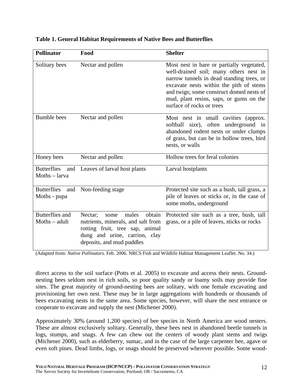| <b>Pollinator</b>                         | Food                                                                                                                                                                      | <b>Shelter</b>                                                                                                                                                                                                                                                                                  |
|-------------------------------------------|---------------------------------------------------------------------------------------------------------------------------------------------------------------------------|-------------------------------------------------------------------------------------------------------------------------------------------------------------------------------------------------------------------------------------------------------------------------------------------------|
| Solitary bees                             | Nectar and pollen                                                                                                                                                         | Most nest in bare or partially vegetated,<br>well-drained soil; many others nest in<br>narrow tunnels in dead standing trees, or<br>excavate nests within the pith of stems<br>and twigs; some construct domed nests of<br>mud, plant resins, saps, or gums on the<br>surface of rocks or trees |
| <b>Bumble</b> bees                        | Nectar and pollen                                                                                                                                                         | Most nest in small cavities (approx.<br>softball size), often underground in<br>abandoned rodent nests or under clumps<br>of grass, but can be in hollow trees, bird<br>nests, or walls                                                                                                         |
| Honey bees                                | Nectar and pollen                                                                                                                                                         | Hollow trees for feral colonies                                                                                                                                                                                                                                                                 |
| <b>Butterflies</b><br>$Moths - larva$     | and Leaves of larval host plants                                                                                                                                          | Larval hostplants                                                                                                                                                                                                                                                                               |
| <b>Butterflies</b><br>and<br>Moths - pupa | Non-feeding stage                                                                                                                                                         | Protected site such as a bush, tall grass, a<br>pile of leaves or sticks or, in the case of<br>some moths, underground                                                                                                                                                                          |
| <b>Butterflies</b> and<br>$Moths - adult$ | males<br>obtain<br>Nectar;<br>some<br>nutrients, minerals, and salt from<br>rotting fruit, tree sap, animal<br>dung and urine, carrion, clay<br>deposits, and mud puddles | Protected site such as a tree, bush, tall<br>grass, or a pile of leaves, sticks or rocks                                                                                                                                                                                                        |

#### **Table 1. General Habitat Requirements of Native Bees and Butterflies**

(Adapted from: *Native Pollinators*. Feb. 2006. NRCS Fish and Wildlife Habitat Management Leaflet. No. 34.)

direct access to the soil surface (Potts et al. 2005) to excavate and access their nests. Groundnesting bees seldom nest in rich soils, so poor quality sandy or loamy soils may provide fine sites. The great majority of ground-nesting bees are solitary, with one female excavating and provisioning her own nest. These may be in large aggregations with hundreds or thousands of bees excavating nests in the same area. Some species, however, will share the nest entrance or cooperate to excavate and supply the nest (Michener 2000).

Approximately 30% (around 1,200 species) of bee species in North America are wood nesters. These are almost exclusively solitary. Generally, these bees nest in abandoned beetle tunnels in logs, stumps, and snags. A few can chew out the centers of woody plant stems and twigs (Michener 2000), such as elderberry, sumac, and in the case of the large carpenter bee, agave or even soft pines. Dead limbs, logs, or snags should be preserved wherever possible. Some wood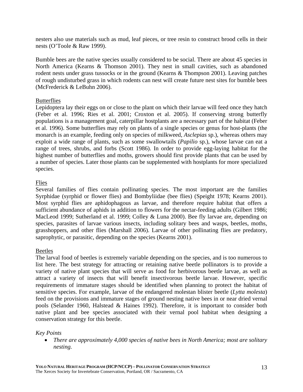nesters also use materials such as mud, leaf pieces, or tree resin to construct brood cells in their nests (O'Toole & Raw 1999).

Bumble bees are the native species usually considered to be social. There are about 45 species in North America (Kearns & Thomson 2001). They nest in small cavities, such as abandoned rodent nests under grass tussocks or in the ground (Kearns & Thompson 2001). Leaving patches of rough undisturbed grass in which rodents can nest will create future nest sites for bumble bees (McFrederick & LeBuhn 2006).

#### **Butterflies**

Lepidoptera lay their eggs on or close to the plant on which their larvae will feed once they hatch (Feber et al. 1996; Ries et al. 2001; Croxton et al. 2005). If conserving strong butterfly populations is a management goal, caterpillar hostplants are a necessary part of the habitat (Feber et al. 1996). Some butterflies may rely on plants of a single species or genus for host-plants (the monarch is an example, feeding only on species of milkweed, *Asclepias* sp.), whereas others may exploit a wide range of plants, such as some swallowtails (*Papilio* sp.), whose larvae can eat a range of trees, shrubs, and forbs (Scott 1986). In order to provide egg-laying habitat for the highest number of butterflies and moths, growers should first provide plants that can be used by a number of species. Later those plants can be supplemented with hostplants for more specialized species.

#### Flies

Several families of flies contain pollinating species. The most important are the families Syrphidae (syrphid or flower flies) and Bombyliidae (bee flies) (Speight 1978; Kearns 2001). Most syrphid flies are aphidophagous as larvae, and therefore require habitat that offers a sufficient abundance of aphids in addition to flowers for the nectar-feeding adults (Gilbert 1986; MacLeod 1999; Sutherland et al. 1999; Colley & Luna 2000). Bee fly larvae are, depending on species, parasites of larvae various insects, including solitary bees and wasps, beetles, moths, grasshoppers, and other flies (Marshall 2006). Larvae of other pollinating flies are predatory, saprophytic, or parasitic, depending on the species (Kearns 2001).

#### Beetles

The larval food of beetles is extremely variable depending on the species, and is too numerous to list here. The best strategy for attracting or retaining native beetle pollinators is to provide a variety of native plant species that will serve as food for herbivorous beetle larvae, as well as attract a variety of insects that will benefit insectivorous beetle larvae. However, specific requirements of immature stages should be identified when planning to protect the habitat of sensitive species. For example, larvae of the endangered molestan blister beetle (*Lytta molesta*) feed on the provisions and immature stages of ground nesting native bees in or near dried vernal pools (Selander 1960, Halstead & Haines 1992). Therefore, it is important to consider both native plant and bee species associated with their vernal pool habitat when designing a conservation strategy for this beetle.

#### *Key Points*

• *There are approximately 4,000 species of native bees in North America; most are solitary nesting.*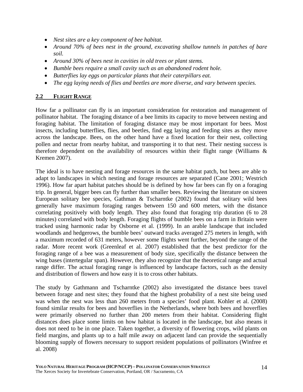- *Nest sites are a key component of bee habitat.*
- *Around 70% of bees nest in the ground, excavating shallow tunnels in patches of bare soil.*
- *Around 30% of bees nest in cavities in old trees or plant stems.*
- *Bumble bees require a small cavity such as an abandoned rodent hole.*
- *Butterflies lay eggs on particular plants that their caterpillars eat.*
- *The egg laying needs of flies and beetles are more diverse, and vary between species.*

#### **2.2 FLIGHT RANGE**

How far a pollinator can fly is an important consideration for restoration and management of pollinator habitat. The foraging distance of a bee limits its capacity to move between nesting and foraging habitat. The limitation of foraging distance may be most important for bees. Most insects, including butterflies, flies, and beetles, find egg laying and feeding sites as they move across the landscape. Bees, on the other hand have a fixed location for their nest, collecting pollen and nectar from nearby habitat, and transporting it to that nest. Their nesting success is therefore dependent on the availability of resources within their flight range (Williams & Kremen 2007).

The ideal is to have nesting and forage resources in the same habitat patch, but bees are able to adapt to landscapes in which nesting and forage resources are separated (Cane 2001; Westrich 1996). How far apart habitat patches should be is defined by how far bees can fly on a foraging trip. In general, bigger bees can fly further than smaller bees. Reviewing the literature on sixteen European solitary bee species, Gathman & Tscharntke (2002) found that solitary wild bees generally have maximum foraging ranges between 150 and 600 meters, with the distance correlating positively with body length. They also found that foraging trip duration (6 to 28 minutes) correlated with body length. Foraging flights of bumble bees on a farm in Britain were tracked using harmonic radar by Osborne et al. (1999). In an arable landscape that included woodlands and hedgerows, the bumble bees' outward tracks averaged 275 meters in length, with a maximum recorded of 631 meters, however some flights went further, beyond the range of the radar. More recent work (Greenleaf et al. 2007) established that the best predictor for the foraging range of a bee was a measurement of body size, specifically the distance between the wing bases (intertegular span). However, they also recognize that the theoretical range and actual range differ. The actual foraging range is influenced by landscape factors, such as the density and distribution of flowers and how easy it is to cross other habitats.

The study by Gathmann and Tscharntke (2002) also investigated the distance bees travel between forage and nest sites; they found that the highest probability of a nest site being used was when the nest was less than 260 meters from a species' food plant. Kohler et al. (2008) found similar results for bees and hoverflies in the Netherlands, where both bees and hoverflies were primarily observed no further than 200 meters from their habitat. Considering flight distances does place some limits on how habitat is located in the landscape, but also means it does not need to be in one place. Taken together, a diversity of flowering crops, wild plants on field margins, and plants up to a half mile away on adjacent land can provide the sequentially blooming supply of flowers necessary to support resident populations of pollinators (Winfree et al. 2008)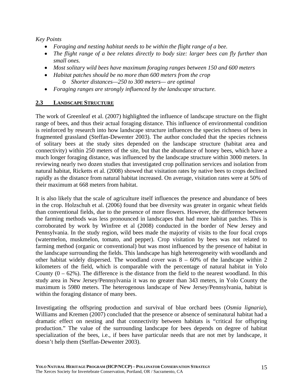*Key Points* 

- *Foraging and nesting habitat needs to be within the flight range of a bee.*
- *The flight range of a bee relates directly to body size: larger bees can fly further than small ones.*
- *Most solitary wild bees have maximum foraging ranges between 150 and 600 meters*
- *Habitat patches should be no more than 600 meters from the crop*  o *Shorter distances—250 to 300 meters— are optimal*
- *Foraging ranges are strongly influenced by the landscape structure.*

## **2.3 LANDSCAPE STRUCTURE**

The work of Greenleaf et al. (2007) highlighted the influence of landscape structure on the flight range of bees, and thus their actual foraging distance. This influence of environmental condition is reinforced by research into how landscape structure influences the species richness of bees in fragmented grassland (Steffan-Dewenter 2003). The author concluded that the species richness of solitary bees at the study sites depended on the landscape structure (habitat area and connectivity) within 250 meters of the site, but that the abundance of honey bees, which have a much longer foraging distance, was influenced by the landscape structure within 3000 meters. In reviewing nearly two dozen studies that investigated crop pollination services and isolation from natural habitat, Ricketts et al. (2008) showed that visitation rates by native bees to crops declined rapidly as the distance from natural habitat increased. On average, visitation rates were at 50% of their maximum at 668 meters from habitat.

It is also likely that the scale of agriculture itself influences the presence and abundance of bees in the crop. Holzschuh et al. (2006) found that bee diversity was greater in organic wheat fields than conventional fields, due to the presence of more flowers. However, the difference between the farming methods was less pronounced in landscapes that had more habitat patches. This is corroborated by work by Winfree et al (2008) conducted in the border of New Jersey and Pennsylvania. In the study region, wild bees made the majority of visits to the four focal crops (watermelon, muskmelon, tomato, and pepper). Crop visitation by bees was not related to farming method (organic or conventional) but was most influenced by the presence of habitat in the landscape surrounding the fields. This landscape has high hetereogeneity with woodlands and other habitat widely dispersed. The woodland cover was  $8 - 60\%$  of the landscape within 2 kilometers of the field, which is comparable with the percentage of natural habitat in Yolo County  $(0 - 62\%)$ . The difference is the distance from the field to the nearest woodland. In this study area in New Jersey/Pennsylvania it was no greater than 343 meters, in Yolo County the maximum is 5980 meters. The heterogenous landscape of New Jersey/Pennsylvania, habitat is within the foraging distance of many bees.

Investigating the offspring production and survival of blue orchard bees (*Osmia lignaria*), Williams and Kremen (2007) concluded that the presence or absence of seminatural habitat had a dramatic effect on nesting and that connectivity between habitats is "critical for offspring production." The value of the surrounding landscape for bees depends on degree of habitat specialization of the bees, i.e., if bees have particular needs that are not met by landscape, it doesn't help them (Steffan-Dewenter 2003).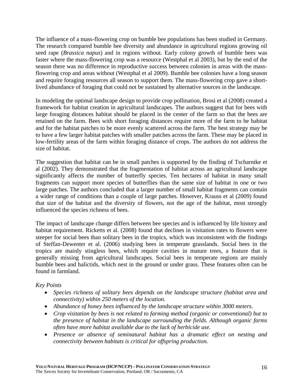The influence of a mass-flowering crop on bumble bee populations has been studied in Germany. The research compared bumble bee diversity and abundance in agricultural regions growing oil seed rape (*Brassica napus*) and in regions without. Early colony growth of bumble bees was faster where the mass-flowering crop was a resource (Westphal et al 2003), but by the end of the season there was no difference in reproductive success between colonies in areas with the massflowering crop and areas without (Westphal et al 2009). Bumble bee colonies have a long season and require foraging resources all season to support them. The mass-flowering crop gave a shortlived abundance of foraging that could not be sustained by alternative sources in the landscape.

In modeling the optimal landscape design to provide crop pollination, Brosi et al (2008) created a framework for habitat creation in agricultural landscapes. The authors suggest that for bees with large foraging distances habitat should be placed in the center of the farm so that the bees are retained on the farm. Bees with short foraging distances require more of the farm to be habitat and for the habitat patches to be more evenly scattered across the farm. The best strategy may be to have a few larger habitat patches with smaller patches across the farm. These may be placed in low-fertility areas of the farm within foraging distance of crops. The authors do not address the size of habitat.

The suggestion that habitat can be in small patches is supported by the finding of Tscharntke et al (2002). They demonstrated that the fragmentation of habitat across an agricultural landscape significantly affects the number of butterfly species. Ten hectares of habitat in many small fragments can support more species of butterflies than the same size of habitat in one or two large patches. The authors concluded that a larger number of small habitat fragments can contain a wider range of conditions than a couple of large patches. However, Krauss et al (2009) found that size of the habitat and the diversity of flowers, not the age of the habitat, most strongly influenced the species richness of bees.

The impact of landscape change differs between bee species and is influenced by life history and habitat requirement. Ricketts et al. (2008) found that declines in visitation rates to flowers were steeper for social bees than solitary bees in the tropics, which was inconsistent with the findings of Steffan-Dewenter et al. (2006) studying bees in temperate grasslands. Social bees in the tropics are mainly stingless bees, which require cavities in mature trees, a feature that is generally missing from agricultural landscapes. Social bees in temperate regions are mainly bumble bees and halictids, which nest in the ground or under grass. These features often can be found in farmland.

#### *Key Points*

- *Species richness of solitary bees depends on the landscape structure (habitat area and connectivity) within 250 meters of the location.*
- *Abundance of honey bees influenced by the landscape structure within 3000 meters.*
- *Crop visitation by bees is not related to farming method (organic or conventional) but to the presence of habitat in the landscape surrounding the fields. Although organic farms often have more habitat available due to the lack of herbicide use.*
- *Presence or absence of seminatural habitat has a dramatic effect on nesting and connectivity between habitats is critical for offspring production.*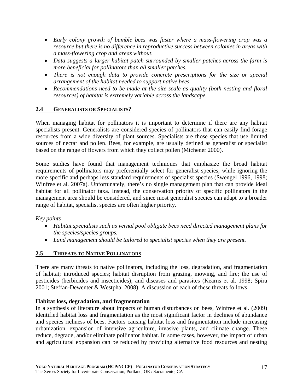- *Early colony growth of bumble bees was faster where a mass-flowering crop was a resource but there is no difference in reproductive success between colonies in areas with a mass-flowering crop and areas without.*
- *Data suggests a larger habitat patch surrounded by smaller patches across the farm is more beneficial for pollinators than all smaller patches.*
- *There is not enough data to provide concrete prescriptions for the size or special arrangement of the habitat needed to support native bees.*
- *Recommendations need to be made at the site scale as quality (both nesting and floral***)** *resources) of habitat is extremely variable across the landscape.*

#### **2.4 GENERALISTS OR SPECIALISTS?**

When managing habitat for pollinators it is important to determine if there are any habitat specialists present. Generalists are considered species of pollinators that can easily find forage resources from a wide diversity of plant sources. Specialists are those species that use limited sources of nectar and pollen. Bees, for example, are usually defined as generalist or specialist based on the range of flowers from which they collect pollen (Michener 2000).

Some studies have found that management techniques that emphasize the broad habitat requirements of pollinators may preferentially select for generalist species, while ignoring the more specific and perhaps less standard requirements of specialist species (Swengel 1996, 1998; Winfree et al. 2007a). Unfortunately, there's no single management plan that can provide ideal habitat for all pollinator taxa. Instead, the conservation priority of specific pollinators in the management area should be considered, and since most generalist species can adapt to a broader range of habitat, specialist species are often higher priority.

#### *Key points*

- *Habitat specialists such as vernal pool obligate bees need directed management plans for the species/species groups.*
- *Land management should be tailored to specialist species when they are present.*

# **2.5 THREATS TO NATIVE POLLINATORS**

There are many threats to native pollinators, including the loss, degradation, and fragmentation of habitat; introduced species; habitat disruption from grazing, mowing, and fire; the use of pesticides (herbicides and insecticides); and diseases and parasites (Kearns et al. 1998; Spira 2001; Steffan-Dewenter & Westphal 2008). A discussion of each of these threats follows.

#### **Habitat loss, degradation, and fragmentation**

In a synthesis of literature about impacts of human disturbances on bees, Winfree et al. (2009) identified habitat loss and fragmentation as the most significant factor in declines of abundance and species richness of bees. Factors causing habitat loss and fragmentation include increasing urbanization, expansion of intensive agriculture, invasive plants, and climate change. These reduce, degrade, and/or eliminate pollinator habitat. In some cases, however, the impact of urban and agricultural expansion can be reduced by providing alternative food resources and nesting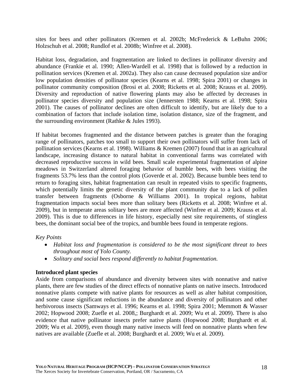sites for bees and other pollinators (Kremen et al. 2002b; McFrederick & LeBuhn 2006; Holzschuh et al. 2008; Rundlof et al. 2008b; Winfree et al. 2008).

Habitat loss, degradation, and fragmentation are linked to declines in pollinator diversity and abundance (Frankie et al. 1990; Allen-Wardell et al. 1998) that is followed by a reduction in pollination services (Kremen et al. 2002a). They also can cause decreased population size and/or low population densities of pollinator species (Kearns et al. 1998; Spira 2001) or changes in pollinator community composition (Brosi et al. 2008; Ricketts et al. 2008; Krauss et al. 2009). Diversity and reproduction of native flowering plants may also be affected by decreases in pollinator species diversity and population size (Jennersten 1988; Kearns et al. 1998; Spira 2001). The causes of pollinator declines are often difficult to identify, but are likely due to a combination of factors that include isolation time, isolation distance, size of the fragment, and the surrounding environment (Rathke & Jules 1993).

If habitat becomes fragmented and the distance between patches is greater than the foraging range of pollinators, patches too small to support their own pollinators will suffer from lack of pollination services (Kearns et al. 1998). Williams & Kremen (2007) found that in an agricultural landscape, increasing distance to natural habitat in conventional farms was correlated with decreased reproductive success in wild bees. Small scale experimental fragmentation of alpine meadows in Switzerland altered foraging behavior of bumble bees, with bees visiting the fragments 53.7% less than the control plots (Goverde et al. 2002). Because bumble bees tend to return to foraging sites, habitat fragmentation can result in repeated visits to specific fragments, which potentially limits the genetic diversity of the plant community due to a lack of pollen transfer between fragments (Osborne & Williams 2001). In tropical regions, habitat fragmentation impacts social bees more than solitary bees (Ricketts et al. 2008; Winfree et al. 2009), but in temperate areas solitary bees are more affected (Winfree et al. 2009; Krauss et al. 2009). This is due to differences in life history, especially nest site requirements, of stingless bees, the dominant social bee of the tropics, and bumble bees found in temperate regions.

#### *Key Points*

- *Habitat loss and fragmentation is considered to be the most significant threat to bees throughout most of Yolo County.*
- *Solitary and social bees respond differently to habitat fragmentation.*

#### **Introduced plant species**

Aside from comparisons of abundance and diversity between sites with nonnative and native plants, there are few studies of the direct effects of nonnative plants on native insects. Introduced nonnative plants compete with native plants for resources as well as alter habitat composition, and some cause significant reductions in the abundance and diversity of pollinators and other herbivorous insects (Samways et al. 1996; Kearns et al. 1998; Spira 2001; Memmott & Wasser 2002; Hopwood 2008; Zuefle et al. 2008,; Burghardt et al. 2009; Wu et al. 2009). There is also evidence that native pollinator insects prefer native plants (Hopwood 2008; Burghardt et al. 2009; Wu et al. 2009), even though many native insects will feed on nonnative plants when few natives are available (Zuefle et al. 2008; Burghardt et al. 2009; Wu et al. 2009).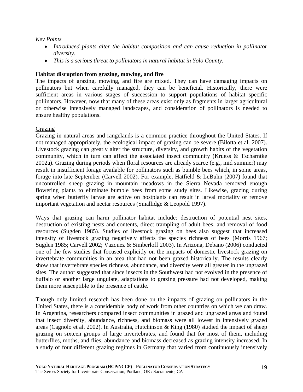#### *Key Points*

- *Introduced plants alter the habitat composition and can cause reduction in pollinator diversity.*
- *This is a serious threat to pollinators in natural habitat in Yolo County.*

#### **Habitat disruption from grazing, mowing, and fire**

The impacts of grazing, mowing, and fire are mixed. They can have damaging impacts on pollinators but when carefully managed, they can be beneficial. Historically, there were sufficient areas in various stages of succession to support populations of habitat specific pollinators. However, now that many of these areas exist only as fragments in larger agricultural or otherwise intensively managed landscapes, and consideration of pollinators is needed to ensure healthy populations.

#### Grazing

Grazing in natural areas and rangelands is a common practice throughout the United States. If not managed appropriately, the ecological impact of grazing can be severe (Bilotta et al. 2007). Livestock grazing can greatly alter the structure, diversity, and growth habits of the vegetation community, which in turn can affect the associated insect community (Kruess & Tscharntke 2002a). Grazing during periods when floral resources are already scarce (e.g., mid summer) may result in insufficient forage available for pollinators such as bumble bees which, in some areas, forage into late September (Carvell 2002). For example, Hatfield & LeBuhn (2007) found that uncontrolled sheep grazing in mountain meadows in the Sierra Nevada removed enough flowering plants to eliminate bumble bees from some study sites. Likewise, grazing during spring when butterfly larvae are active on hostplants can result in larval mortality or remove important vegetation and nectar resources (Smallidge & Leopold 1997).

Ways that grazing can harm pollinator habitat include: destruction of potential nest sites, destruction of existing nests and contents, direct trampling of adult bees, and removal of food resources (Sugden 1985). Studies of livestock grazing on bees also suggest that increased intensity of livestock grazing negatively affects the species richness of bees (Morris 1967; Sugden 1985; Carvell 2002; Vazquez & Simberloff 2003). In Arizona, Debano (2006) conducted one of the few studies that focused explicitly on the impacts of domestic livestock grazing on invertebrate communities in an area that had not been grazed historically. The results clearly show that invertebrate species richness, abundance, and diversity were all greater in the ungrazed sites. The author suggested that since insects in the Southwest had not evolved in the presence of buffalo or another large ungulate, adaptations to grazing pressure had not developed, making them more susceptible to the presence of cattle.

Though only limited research has been done on the impacts of grazing on pollinators in the United States, there is a considerable body of work from other countries on which we can draw. In Argentina, researchers compared insect communities in grazed and ungrazed areas and found that insect diversity, abundance, richness, and biomass were all lowest in intensively grazed areas (Cagnolo et al. 2002). In Australia, Hutchinson & King (1980) studied the impact of sheep grazing on sixteen groups of large invertebrates, and found that for most of them, including butterflies, moths, and flies, abundance and biomass decreased as grazing intensity increased. In a study of four different grazing regimes in Germany that varied from continuously intensively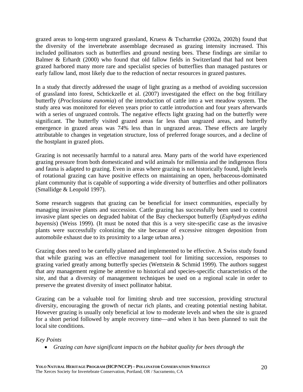grazed areas to long-term ungrazed grassland, Kruess & Tscharntke (2002a, 2002b) found that the diversity of the invertebrate assemblage decreased as grazing intensity increased. This included pollinators such as butterflies and ground nesting bees. These findings are similar to Balmer & Erhardt (2000) who found that old fallow fields in Switzerland that had not been grazed harbored many more rare and specialist species of butterflies than managed pastures or early fallow land, most likely due to the reduction of nectar resources in grazed pastures.

In a study that directly addressed the usage of light grazing as a method of avoiding succession of grassland into forest, Schtickzelle et al. (2007) investigated the effect on the bog fritillary butterfly (*Proclossiana eunomia*) of the introduction of cattle into a wet meadow system. The study area was monitored for eleven years prior to cattle introduction and four years afterwards with a series of ungrazed controls. The negative effects light grazing had on the butterfly were significant. The butterfly visited grazed areas far less than ungrazed areas, and butterfly emergence in grazed areas was 74% less than in ungrazed areas. These effects are largely attributable to changes in vegetation structure, loss of preferred forage sources, and a decline of the hostplant in grazed plots.

Grazing is not necessarily harmful to a natural area. Many parts of the world have experienced grazing pressure from both domesticated and wild animals for millennia and the indigenous flora and fauna is adapted to grazing. Even in areas where grazing is not historically found, light levels of rotational grazing can have positive effects on maintaining an open, herbaceous-dominated plant community that is capable of supporting a wide diversity of butterflies and other pollinators (Smallidge & Leopold 1997).

Some research suggests that grazing can be beneficial for insect communities, especially by managing invasive plants and succession. Cattle grazing has successfully been used to control invasive plant species on degraded habitat of the Bay checkerspot butterfly (*Euphydryas editha bayensis*) (Weiss 1999). (It must be noted that this is a very site-specific case as the invasive plants were successfully colonizing the site because of excessive nitrogen deposition from automobile exhaust due to its proximity to a large urban area.)

Grazing does need to be carefully planned and implemented to be effective. A Swiss study found that while grazing was an effective management tool for limiting succession, responses to grazing varied greatly among butterfly species (Wettstein & Schmid 1999). The authors suggest that any management regime be attentive to historical and species-specific characteristics of the site, and that a diversity of management techniques be used on a regional scale in order to preserve the greatest diversity of insect pollinator habitat.

Grazing can be a valuable tool for limiting shrub and tree succession, providing structural diversity, encouraging the growth of nectar rich plants, and creating potential nesting habitat. However grazing is usually only beneficial at low to moderate levels and when the site is grazed for a short period followed by ample recovery time—and when it has been planned to suit the local site conditions.

#### *Key Points*

• *Grazing can have significant impacts on the habitat quality for bees through the*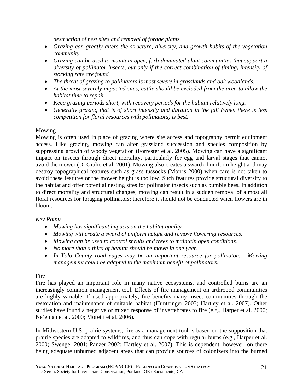*destruction of nest sites and removal of forage plants.* 

- *Grazing can greatly alters the structure, diversity, and growth habits of the vegetation community.*
- *Grazing can be used to maintain open, forb-dominated plant communities that support a diversity of pollinator insects, but only if the correct combination of timing, intensity of stocking rate are found.*
- *The threat of grazing to pollinators is most severe in grasslands and oak woodlands.*
- *At the most severely impacted sites, cattle should be excluded from the area to allow the habitat time to repair.*
- *Keep grazing periods short, with recovery periods for the habitat relatively long.*
- *Generally grazing that is of short intensity and duration in the fall (when there is less competition for floral resources with pollinators) is best.*

## Mowing

Mowing is often used in place of grazing where site access and topography permit equipment access. Like grazing, mowing can alter grassland succession and species composition by suppressing growth of woody vegetation (Forrester et al. 2005). Mowing can have a significant impact on insects through direct mortality, particularly for egg and larval stages that cannot avoid the mower (Di Giulio et al. 2001). Mowing also creates a sward of uniform height and may destroy topographical features such as grass tussocks (Morris 2000) when care is not taken to avoid these features or the mower height is too low. Such features provide structural diversity to the habitat and offer potential nesting sites for pollinator insects such as bumble bees. In addition to direct mortality and structural changes, mowing can result in a sudden removal of almost all floral resources for foraging pollinators; therefore it should not be conducted when flowers are in bloom.

#### *Key Points*

- *Mowing has significant impacts on the habitat quality.*
- *Mowing will create a sward of uniform height and remove flowering resources.*
- *Mowing can be used to control shrubs and trees to maintain open conditions.*
- *No more than a third of habitat should be mown in one year.*
- *In Yolo County road edges may be an important resource for pollinators. Mowing management could be adapted to the maximum benefit of pollinators.*

#### Fire

Fire has played an important role in many native ecosystems, and controlled burns are an increasingly common management tool. Effects of fire management on arthropod communities are highly variable. If used appropriately, fire benefits many insect communities through the restoration and maintenance of suitable habitat (Huntzinger 2003; Hartley et al. 2007). Other studies have found a negative or mixed response of invertebrates to fire (e.g., Harper et al. 2000; Ne'eman et al. 2000; Moretti et al. 2006).

In Midwestern U.S. prairie systems, fire as a management tool is based on the supposition that prairie species are adapted to wildfires, and thus can cope with regular burns (e.g., Harper et al. 2000; Swengel 2001; Panzer 2002; Hartley et al. 2007). This is dependent, however, on there being adequate unburned adjacent areas that can provide sources of colonizers into the burned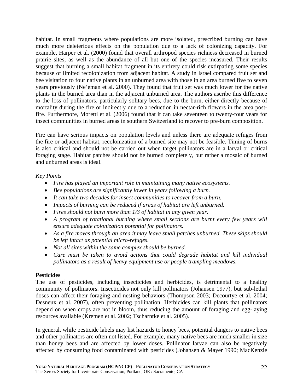habitat. In small fragments where populations are more isolated, prescribed burning can have much more deleterious effects on the population due to a lack of colonizing capacity. For example, Harper et al. (2000) found that overall arthropod species richness decreased in burned prairie sites, as well as the abundance of all but one of the species measured. Their results suggest that burning a small habitat fragment in its entirety could risk extirpating some species because of limited recolonization from adjacent habitat. A study in Israel compared fruit set and bee visitation to four native plants in an unburned area with those in an area burned five to seven years previously (Ne'eman et al. 2000). They found that fruit set was much lower for the native plants in the burned area than in the adjacent unburned area. The authors ascribe this difference to the loss of pollinators, particularly solitary bees, due to the burn, either directly because of mortality during the fire or indirectly due to a reduction in nectar-rich flowers in the area postfire. Furthermore, Moretti et al. (2006) found that it can take seventeen to twenty-four years for insect communities in burned areas in southern Switzerland to recover to pre-burn composition.

Fire can have serious impacts on population levels and unless there are adequate refuges from the fire or adjacent habitat, recolonization of a burned site may not be feasible. Timing of burns is also critical and should not be carried out when target pollinators are in a larval or critical foraging stage. Habitat patches should not be burned completely, but rather a mosaic of burned and unburned areas is ideal.

#### *Key Points*

- *Fire has played an important role in maintaining many native ecosystems.*
- *Bee populations are significantly lower in years following a burn.*
- *It can take two decades for insect communities to recover from a burn.*
- *Impacts of burning can be reduced if areas of habitat are left unburned.*
- *Fires should not burn more than 1/3 of habitat in any given year.*
- A program of rotational burning where small sections are burnt every few years will *ensure adequate colonization potential for pollinators.*
- *As a fire moves through an area it may leave small patches unburned. These skips should be left intact as potential micro-refuges.*
- *Not all sites within the same complex should be burned.*
- *Care must be taken to avoid actions that could degrade habitat and kill individual pollinators as a result of heavy equipment use or people trampling meadows.*

#### **Pesticides**

The use of pesticides, including insecticides and herbicides, is detrimental to a healthy community of pollinators. Insecticides not only kill pollinators (Johansen 1977), but sub-lethal doses can affect their foraging and nesting behaviors (Thompson 2003; Decourtye et al. 2004; Desneux et al. 2007), often preventing pollination. Herbicides can kill plants that pollinators depend on when crops are not in bloom, thus reducing the amount of foraging and egg-laying resources available (Kremen et al. 2002; Tscharntke et al. 2005).

In general, while pesticide labels may list hazards to honey bees, potential dangers to native bees and other pollinators are often not listed. For example, many native bees are much smaller in size than honey bees and are affected by lower doses. Pollinator larvae can also be negatively affected by consuming food contaminated with pesticides (Johansen & Mayer 1990; MacKenzie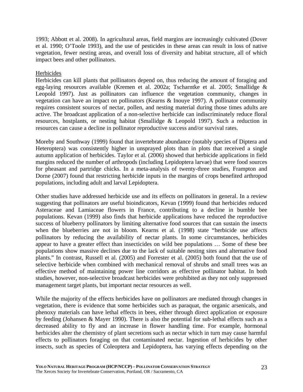1993; Abbott et al. 2008). In agricultural areas, field margins are increasingly cultivated (Dover et al. 1990; O'Toole 1993), and the use of pesticides in these areas can result in loss of native vegetation, fewer nesting areas, and overall loss of diversity and habitat structure, all of which impact bees and other pollinators.

#### Herbicides

Herbicides can kill plants that pollinators depend on, thus reducing the amount of foraging and egg-laying resources available (Kremen et al. 2002a; Tscharntke et al. 2005; Smallidge & Leopold 1997). Just as pollinators can influence the vegetation community, changes in vegetation can have an impact on pollinators (Kearns & Inouye 1997). A pollinator community requires consistent sources of nectar, pollen, and nesting material during those times adults are active. The broadcast application of a non-selective herbicide can indiscriminately reduce floral resources, hostplants, or nesting habitat (Smallidge & Leopold 1997). Such a reduction in resources can cause a decline in pollinator reproductive success and/or survival rates.

Moreby and Southway (1999) found that invertebrate abundance (notably species of Diptera and Heteroptera) was consistently higher in unsprayed plots than in plots that received a single autumn application of herbicides. Taylor et al. (2006) showed that herbicide applications in field margins reduced the number of arthropods (including Lepidoptera larvae) that were food sources for pheasant and partridge chicks. In a meta-analysis of twenty-three studies, Frampton and Dorne (2007) found that restricting herbicide inputs in the margins of crops benefited arthropod populations, including adult and larval Lepidoptera.

Other studies have addressed herbicide use and its effects on pollinators in general. In a review suggesting that pollinators are useful bioindicators, Kevan (1999) found that herbicides reduced Asteraceae and Lamiaceae flowers in France, contributing to a decline in bumble bee populations. Kevan (1999) also finds that herbicide applications have reduced the reproductive success of blueberry pollinators by limiting alternative food sources that can sustain the insects when the blueberries are not in bloom. Kearns et al. (1998) state "herbicide use affects pollinators by reducing the availability of nectar plants. In some circumstances, herbicides appear to have a greater effect than insecticides on wild bee populations … Some of these bee populations show massive declines due to the lack of suitable nesting sites and alternative food plants." In contrast, Russell et al. (2005) and Forrester et al. (2005) both found that the use of selective herbicide when combined with mechanical removal of shrubs and small trees was an effective method of maintaining power line corridors as effective pollinator habitat. In both studies, however, non-selective broadcast herbicides were prohibited as they not only suppressed management target plants, but important nectar resources as well.

While the majority of the effects herbicides have on pollinators are mediated through changes in vegetation, there is evidence that some herbicides such as paraquat, the organic arsenicals, and phenoxy materials can have lethal effects in bees, either through direct application or exposure by feeding (Johansen & Mayer 1990). There is also the potential for sub-lethal effects such as a decreased ability to fly and an increase in flower handling time. For example, hormonal herbicides alter the chemistry of plant secretions such as nectar which in turn may cause harmful effects to pollinators foraging on that contaminated nectar. Ingestion of herbicides by other insects, such as species of Coleoptera and Lepidoptera, has varying effects depending on the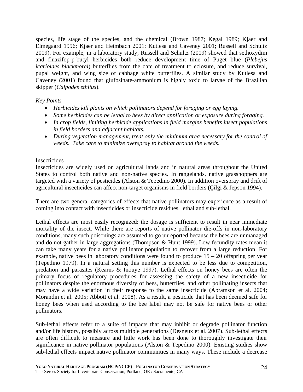species, life stage of the species, and the chemical (Brown 1987; Kegal 1989; Kjaer and Elmegaard 1996; Kjaer and Heimbach 2001; Kutlesa and Caveney 2001; Russell and Schultz 2009). For example, in a laboratory study, Russell and Schultz (2009) showed that sethoxydim and fluazifop-p-butyl herbicides both reduce development time of Puget blue (*Plebejus icarioides blackmorei*) butterflies from the date of treatment to eclosure, and reduce survival, pupal weight, and wing size of cabbage white butterflies. A similar study by Kutlesa and Caveney (2001) found that glufosinate-ammonium is highly toxic to larvae of the Brazilian skipper (*Calpodes ethlius*).

#### *Key Points*

- *Herbicides kill plants on which pollinators depend for foraging or egg laying.*
- *Some herbicides can be lethal to bees by direct application or exposure during foraging.*
- *In crop fields, limiting herbicide applications in field margins benefits insect populations in field borders and adjacent habitats.*
- *During vegetation management, treat only the minimum area necessary for the control of weeds. Take care to minimize overspray to habitat around the weeds.*

#### Insecticides

Insecticides are widely used on agricultural lands and in natural areas throughout the United States to control both native and non-native species. In rangelands, native grasshoppers are targeted with a variety of pesticides (Alston & Tepedino 2000). In addition overspray and drift of agricultural insecticides can affect non-target organisms in field borders (Çilgi & Jepson 1994).

There are two general categories of effects that native pollinators may experience as a result of coming into contact with insecticides or insecticide residues, lethal and sub-lethal.

Lethal effects are most easily recognized: the dosage is sufficient to result in near immediate mortality of the insect. While there are reports of native pollinator die-offs in non-laboratory conditions, many such poisonings are assumed to go unreported because the bees are unmanaged and do not gather in large aggregations (Thompson & Hunt 1999). Low fecundity rates mean it can take many years for a native pollinator population to recover from a large reduction. For example, native bees in laboratory conditions were found to produce  $15 - 20$  offspring per year (Tepedino 1979). In a natural setting this number is expected to be less due to competition, predation and parasites (Kearns & Inouye 1997). Lethal effects on honey bees are often the primary focus of regulatory procedures for assessing the safety of a new insecticide for pollinators despite the enormous diversity of bees, butterflies, and other pollinating insects that may have a wide variation in their response to the same insecticide (Abramson et al. 2004; Morandin et al. 2005; Abbott et al. 2008). As a result, a pesticide that has been deemed safe for honey bees when used according to the bee label may not be safe for native bees or other pollinators.

Sub-lethal effects refer to a suite of impacts that may inhibit or degrade pollinator function and/or life history, possibly across multiple generations (Desneux et al. 2007). Sub-lethal effects are often difficult to measure and little work has been done to thoroughly investigate their significance in native pollinator populations (Alston & Tepedino 2000). Existing studies show sub-lethal effects impact native pollinator communities in many ways. These include a decrease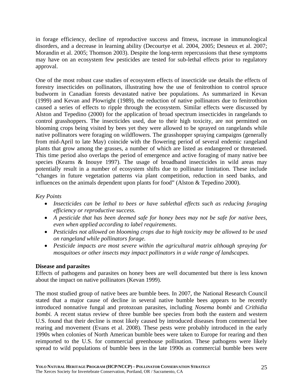in forage efficiency, decline of reproductive success and fitness, increase in immunological disorders, and a decrease in learning ability (Decourtye et al. 2004, 2005; Desneux et al. 2007; Morandin et al. 2005; Thomson 2003). Despite the long-term repercussions that these symptoms may have on an ecosystem few pesticides are tested for sub-lethal effects prior to regulatory approval.

One of the most robust case studies of ecosystem effects of insecticide use details the effects of forestry insecticides on pollinators, illustrating how the use of fenitrothion to control spruce budworm in Canadian forests devastated native bee populations. As summarized in Kevan (1999) and Kevan and Plowright (1989), the reduction of native pollinators due to fenitrothion caused a series of effects to ripple through the ecosystem. Similar effects were discussed by Alston and Tepedino (2000) for the application of broad spectrum insecticides in rangelands to control grasshoppers. The insecticides used, due to their high toxicity, are not permitted on blooming crops being visited by bees yet they were allowed to be sprayed on rangelands while native pollinators were foraging on wildflowers. The grasshopper spraying campaigns (generally from mid-April to late May) coincide with the flowering period of several endemic rangeland plants that grow among the grasses, a number of which are listed as endangered or threatened. This time period also overlaps the period of emergence and active foraging of many native bee species (Kearns & Inouye 1997). The usage of broadband insecticides in wild areas may potentially result in a number of ecosystem shifts due to pollinator limitation. These include "changes in future vegetation patterns via plant competition, reduction in seed banks, and influences on the animals dependent upon plants for food" (Alston & Tepedino 2000).

#### *Key Points*

- *Insecticides can be lethal to bees or have sublethal effects such as reducing foraging efficiency or reproductive success.*
- *A pesticide that has been deemed safe for honey bees may not be safe for native bees, even when applied according to label requirements.*
- *Pesticides not allowed on blooming crops due to high toxicity may be allowed to be used on rangeland while pollinators forage.*
- *Pesticide impacts are most severe within the agricultural matrix although spraying for mosquitoes or other insects may impact pollinators in a wide range of landscapes.*

#### **Disease and parasites**

Effects of pathogens and parasites on honey bees are well documented but there is less known about the impact on native pollinators (Kevan 1999).

The most studied group of native bees are bumble bees. In 2007, the National Research Council stated that a major cause of decline in several native bumble bees appears to be recently introduced nonnative fungal and protozoan parasites, including *Nosema bombi* and *Crithidia bombi.* A recent status review of three bumble bee species from both the eastern and western U.S. found that their decline is most likely caused by introduced diseases from commercial bee rearing and movement (Evans et al. 2008). These pests were probably introduced in the early 1990s when colonies of North American bumble bees were taken to Europe for rearing and then reimported to the U.S. for commercial greenhouse pollination. These pathogens were likely spread to wild populations of bumble bees in the late 1990s as commercial bumble bees were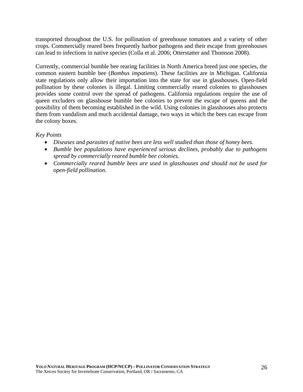transported throughout the U.S. for pollination of greenhouse tomatoes and a variety of other crops. Commercially reared bees frequently harbor pathogens and their escape from greenhouses can lead to infections in native species (Colla et al. 2006; Otterstatter and Thomson 2008).

Currently, commercial bumble bee rearing facilities in North America breed just one species, the common eastern bumble bee (*Bombus impatiens*). These facilities are in Michigan. California state regulations only allow their importation into the state for use in glasshouses. Open-field pollination by these colonies is illegal. Limiting commercially reared colonies to glasshouses provides some control over the spread of pathogens. California regulations require the use of queen excluders on glasshouse bumble bee colonies to prevent the escape of queens and the possibility of them becoming established in the wild. Using colonies in glasshouses also protects them from vandalism and much accidental damage, two ways in which the bees can escape from the colony boxes.

#### *Key Points*

- *Diseases and parasites of native bees are less well studied than those of honey bees.*
- *Bumble bee populations have experienced serious declines, probably due to pathogens spread by commercially reared bumble bee colonies.*
- *Commercially reared bumble bees are used in glasshouses and should not be used for open-field pollination.*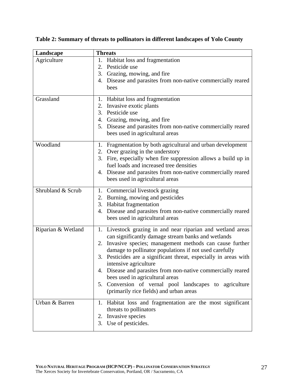| Landscape          | <b>Threats</b>                                                                                                                                                                                                                                                                                                                                                                                                                                                                                                                                |  |
|--------------------|-----------------------------------------------------------------------------------------------------------------------------------------------------------------------------------------------------------------------------------------------------------------------------------------------------------------------------------------------------------------------------------------------------------------------------------------------------------------------------------------------------------------------------------------------|--|
| Agriculture        | 1. Habitat loss and fragmentation<br>2. Pesticide use<br>3. Grazing, mowing, and fire<br>4. Disease and parasites from non-native commercially reared<br>bees                                                                                                                                                                                                                                                                                                                                                                                 |  |
| Grassland          | 1. Habitat loss and fragmentation<br>2. Invasive exotic plants<br>3. Pesticide use<br>4. Grazing, mowing, and fire<br>5. Disease and parasites from non-native commercially reared<br>bees used in agricultural areas                                                                                                                                                                                                                                                                                                                         |  |
| Woodland           | 1. Fragmentation by both agricultural and urban development<br>2. Over grazing in the understory<br>3. Fire, especially when fire suppression allows a build up in<br>fuel loads and increased tree densities<br>4. Disease and parasites from non-native commercially reared<br>bees used in agricultural areas                                                                                                                                                                                                                              |  |
| Shrubland & Scrub  | 1. Commercial livestock grazing<br>2. Burning, mowing and pesticides<br>3. Habitat fragmentation<br>4. Disease and parasites from non-native commercially reared<br>bees used in agricultural areas                                                                                                                                                                                                                                                                                                                                           |  |
| Riparian & Wetland | 1. Livestock grazing in and near riparian and wetland areas<br>can significantly damage stream banks and wetlands<br>2. Invasive species; management methods can cause further<br>damage to pollinator populations if not used carefully<br>3. Pesticides are a significant threat, especially in areas with<br>intensive agriculture<br>4. Disease and parasites from non-native commercially reared<br>bees used in agricultural areas<br>5. Conversion of vernal pool landscapes to agriculture<br>(primarily rice fields) and urban areas |  |
| Urban & Barren     | 1. Habitat loss and fragmentation are the most significant<br>threats to pollinators<br>2. Invasive species<br>3. Use of pesticides.                                                                                                                                                                                                                                                                                                                                                                                                          |  |

**Table 2: Summary of threats to pollinators in different landscapes of Yolo County**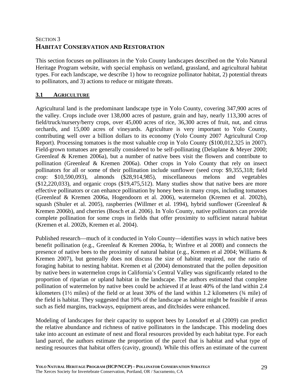# SECTION 3 **HABITAT CONSERVATION AND RESTORATION**

This section focuses on pollinators in the Yolo County landscapes described on the Yolo Natural Heritage Program website, with special emphasis on wetland, grassland, and agricultural habitat types. For each landscape, we describe 1) how to recognize pollinator habitat, 2) potential threats to pollinators, and 3) actions to reduce or mitigate threats.

# **3.1 AGRICULTURE**

Agricultural land is the predominant landscape type in Yolo County, covering 347,900 acres of the valley. Crops include over 138,000 acres of pasture, grain and hay, nearly 113,300 acres of field/truck/nursery/berry crops, over 45,000 acres of rice, 36,300 acres of fruit, nut, and citrus orchards, and 15,000 acres of vineyards. Agriculture is very important to Yolo County, contributing well over a billion dollars to its economy (Yolo County 2007 Agricultural Crop Report). Processing tomatoes is the most valuable crop in Yolo County (\$100,012,325 in 2007). Field-grown tomatoes are generally considered to be self-pollinating (Delaplane & Meyer 2000; Greenleaf & Kremen 2006a), but a number of native bees visit the flowers and contribute to pollination (Greenleaf & Kremen 2006a). Other crops in Yolo County that rely on insect pollinators for all or some of their pollination include sunflower (seed crop: \$9,355,318; field crop: \$10,590,093), almonds (\$28,914,985), miscellaneous melons and vegetables  $($12,220,033)$ , and organic crops  $($19,475,512)$ . Many studies show that native bees are more effective pollinators or can enhance pollination by honey bees in many crops, including tomatoes (Greenleaf & Kremen 2006a, Hogendoorn et al. 2006), watermelon (Kremen et al. 2002b), squash (Shuler et al. 2005), raspberries (Willmer et al. 1994), hybrid sunflower (Greenleaf & Kremen 2006b), and cherries (Bosch et al. 2006). In Yolo County, native pollinators can provide complete pollination for some crops in fields that offer proximity to sufficient natural habitat (Kremen et al. 2002b, Kremen et al. 2004).

Published research—much of it conducted in Yolo County—identifies ways in which native bees benefit pollination (e.g., Greenleaf & Kremen 2006a, b; Winfree et al 2008) and connects the presence of native bees to the proximity of natural habitat (e.g., Kremen et al 2004; Williams & Kremen 2007), but generally does not discuss the size of habitat required, nor the ratio of foraging habitat to nesting habitat. Kremen et al (2004) demonstrated that the pollen deposition by native bees in watermelon crops in California's Central Valley was significantly related to the proportion of riparian or upland habitat in the landscape. The authors estimated that complete pollination of watermelon by native bees could be achieved if at least 40% of the land within 2.4 kilometers (1½ miles) of the field or at least 30% of the land within 1.2 kilometers (¾ mile) of the field is habitat. They suggested that 10% of the landscape as habitat might be feasible if areas such as field margins, trackways, equipment areas, and ditchsides were enhanced.

Modeling of landscapes for their capacity to support bees by Lonsdorf et al (2009) can predict the relative abundance and richness of native pollinators in the landscape. This modeling does take into account an estimate of nest and floral resources provided by each habitat type. For each land parcel, the authors estimate the proportion of the parcel that is habitat and what type of nesting resources that habitat offers (cavity, ground). While this offers an estimate of the current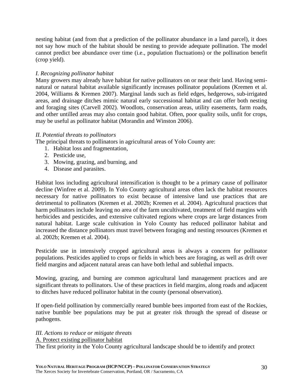nesting habitat (and from that a prediction of the pollinator abundance in a land parcel), it does not say how much of the habitat should be nesting to provide adequate pollination. The model cannot predict bee abundance over time (i.e., population fluctuations) or the pollination benefit (crop yield).

#### *I. Recognizing pollinator habitat*

Many growers may already have habitat for native pollinators on or near their land. Having seminatural or natural habitat available significantly increases pollinator populations (Kremen et al. 2004, Williams & Kremen 2007). Marginal lands such as field edges, hedgerows, sub-irrigated areas, and drainage ditches mimic natural early successional habitat and can offer both nesting and foraging sites (Carvell 2002). Woodlots, conservation areas, utility easements, farm roads, and other untilled areas may also contain good habitat. Often, poor quality soils, unfit for crops, may be useful as pollinator habitat (Morandin and Winston 2006).

#### *II. Potential threats to pollinators*

The principal threats to pollinators in agricultural areas of Yolo County are:

- 1. Habitat loss and fragmentation,
- 2. Pesticide use,
- 3. Mowing, grazing, and burning, and
- 4. Disease and parasites.

Habitat loss including agricultural intensification is thought to be a primary cause of pollinator decline (Winfree et al. 2009). In Yolo County agricultural areas often lack the habitat resources necessary for native pollinators to exist because of intensive land use practices that are detrimental to pollinators (Kremen et al. 2002b; Kremen et al. 2004). Agricultural practices that harm pollinators include leaving no area of the farm uncultivated, treatment of field margins with herbicides and pesticides, and extensive cultivated regions where crops are large distances from natural habitat. Large scale cultivation in Yolo County has reduced pollinator habitat and increased the distance pollinators must travel between foraging and nesting resources (Kremen et al. 2002b; Kremen et al. 2004).

Pesticide use in intensively cropped agricultural areas is always a concern for pollinator populations. Pesticides applied to crops or fields in which bees are foraging, as well as drift over field margins and adjacent natural areas can have both lethal and sublethal impacts.

Mowing, grazing, and burning are common agricultural land management practices and are significant threats to pollinators. Use of these practices in field margins, along roads and adjacent to ditches have reduced pollinator habitat in the county (personal observation).

If open-field pollination by commercially reared bumble bees imported from east of the Rockies, native bumble bee populations may be put at greater risk through the spread of disease or pathogens.

# *III. Actions to reduce or mitigate threats*

A. Protect existing pollinator habitat

The first priority in the Yolo County agricultural landscape should be to identify and protect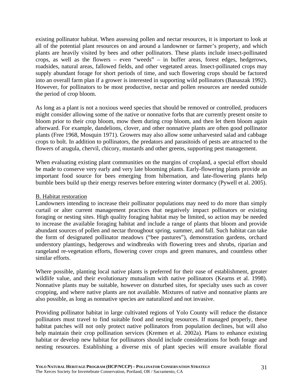existing pollinator habitat. When assessing pollen and nectar resources, it is important to look at all of the potential plant resources on and around a landowner or farmer's property, and which plants are heavily visited by bees and other pollinators. These plants include insect-pollinated crops, as well as the flowers – even "weeds" – in buffer areas, forest edges, hedgerows, roadsides, natural areas, fallowed fields, and other vegetated areas. Insect-pollinated crops may supply abundant forage for short periods of time, and such flowering crops should be factored into an overall farm plan if a grower is interested in supporting wild pollinators (Banaszak 1992). However, for pollinators to be most productive, nectar and pollen resources are needed outside the period of crop bloom.

As long as a plant is not a noxious weed species that should be removed or controlled, producers might consider allowing some of the native or nonnative forbs that are currently present onsite to bloom prior to their crop bloom, mow them during crop bloom, and then let them bloom again afterward. For example, dandelions, clover, and other nonnative plants are often good pollinator plants (Free 1968, Mosquin 1971). Growers may also allow some unharvested salad and cabbage crops to bolt. In addition to pollinators, the predators and parasitoids of pests are attracted to the flowers of arugula, chervil, chicory, mustards and other greens, supporting pest management.

When evaluating existing plant communities on the margins of cropland, a special effort should be made to conserve very early and very late blooming plants. Early-flowering plants provide an important food source for bees emerging from hibernation, and late-flowering plants help bumble bees build up their energy reserves before entering winter dormancy (Pywell et al. 2005).

#### B. Habitat restoration

Landowners intending to increase their pollinator populations may need to do more than simply curtail or alter current management practices that negatively impact pollinators or existing foraging or nesting sites. High quality foraging habitat may be limited, so action may be needed to increase the available foraging habitat and include a range of plants that bloom and provide abundant sources of pollen and nectar throughout spring, summer, and fall. Such habitat can take the form of designated pollinator meadows ("bee pastures"), demonstration gardens, orchard understory plantings, hedgerows and windbreaks with flowering trees and shrubs, riparian and rangeland re-vegetation efforts, flowering cover crops and green manures, and countless other similar efforts.

Where possible, planting local native plants is preferred for their ease of establishment, greater wildlife value, and their evolutionary mutualism with native pollinators (Kearns et al. 1998). Nonnative plants may be suitable, however on disturbed sites, for specialty uses such as cover cropping, and where native plants are not available. Mixtures of native and nonnative plants are also possible, as long as nonnative species are naturalized and not invasive.

Providing pollinator habitat in large cultivated regions of Yolo County will reduce the distance pollinators must travel to find suitable food and nesting resources. If managed properly, these habitat patches will not only protect native pollinators from population declines, but will also help maintain their crop pollination services (Kremen et al. 2002a). Plans to enhance existing habitat or develop new habitat for pollinators should include considerations for both forage and nesting resources. Establishing a diverse mix of plant species will ensure available floral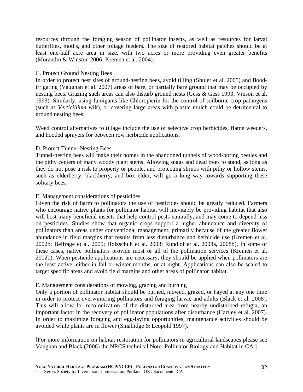resources through the foraging season of pollinator insects, as well as resources for larval butterflies, moths, and other foliage feeders. The size of restored habitat patches should be at least one-half acre area in size, with two acres or more providing even greater benefits (Morandin & Winston 2006; Kremen et al. 2004).

#### C. Protect Ground Nesting Bees

In order to protect nest sites of ground-nesting bees, avoid tilling (Shuler et al. 2005) and floodirrigating (Vaughan et al. 2007) areas of bare, or partially bare ground that may be occupied by nesting bees. Grazing such areas can also disturb ground nests (Gess & Gess 1993; Vinson et al. 1993). Similarly, using fumigants like Chloropicrin for the control of soilborne crop pathogens (such as *Verticillium* wilt), or covering large areas with plastic mulch could be detrimental to ground nesting bees.

Weed control alternatives to tillage include the use of selective crop herbicides, flame weeders, and hooded sprayers for between row herbicide applications.

#### D. Protect Tunnel-Nesting Bees

Tunnel-nesting bees will make their homes in the abandoned tunnels of wood-boring beetles and the pithy centers of many woody plant stems. Allowing snags and dead trees to stand, as long as they do not pose a risk to property or people, and protecting shrubs with pithy or hollow stems, such as elderberry, blackberry, and box elder, will go a long way towards supporting these solitary bees.

#### E. Management considerations of pesticides

Given the risk of harm to pollinators the use of pesticides should be greatly reduced. Farmers who encourage native plants for pollinator habitat will inevitably be providing habitat that also will host many beneficial insects that help control pests naturally, and may come to depend less on pesticides. Studies show that organic crops support a higher abundance and diversity of pollinators than areas under conventional management, primarily because of the greater flower abundance in field margins that results from less disturbance and herbicide use (Kremen et al. 2002b; Belfrage et al. 2005; Holzschuh et al. 2008; Rundlof et al. 2008a, 2008b). In some of these cases, native pollinators provide most or all of the pollination services (Kremen et al. 2002b). When pesticide applications are necessary, they should be applied when pollinators are the least active: either in fall or winter months, or at night. Applications can also be scaled to target specific areas and avoid field margins and other areas of pollinator habitat.

#### F. Management considerations of mowing, grazing and burning

Only a portion of pollinator habitat should be burned, mowed, grazed, or hayed at any one time in order to protect overwintering pollinators and foraging larvae and adults (Black et al. 2008). This will allow for recolonization of the disturbed area from nearby undisturbed refugia, an important factor in the recovery of pollinator populations after disturbance (Hartley et al. 2007). In order to maximize foraging and egg-laying opportunities, maintenance activities should be avoided while plants are in flower (Smallidge & Leopold 1997).

[For more information on habitat restoration for pollinators in agricultural landscapes please see Vaughan and Black (2006) the NRCS technical Note: Pollinator Biology and Habitat in CA.]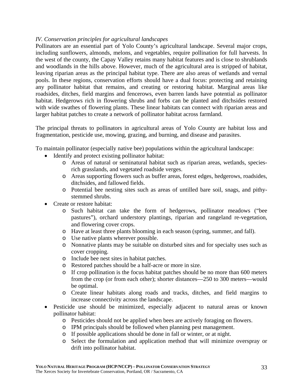#### *IV. Conservation principles for agricultural landscapes*

Pollinators are an essential part of Yolo County's agricultural landscape. Several major crops, including sunflowers, almonds, melons, and vegetables, require pollination for full harvests. In the west of the county, the Capay Valley retains many habitat features and is close to shrublands and woodlands in the hills above. However, much of the agricultural area is stripped of habitat, leaving riparian areas as the principal habitat type. There are also areas of wetlands and vernal pools. In these regions, conservation efforts should have a dual focus: protecting and retaining any pollinator habitat that remains, and creating or restoring habitat. Marginal areas like roadsides, ditches, field margins and fencerows, even barren lands have potential as pollinator habitat. Hedgerows rich in flowering shrubs and forbs can be planted and ditchsides restored with wide swathes of flowering plants. These linear habitats can connect with riparian areas and larger habitat patches to create a network of pollinator habitat across farmland.

The principal threats to pollinators in agricultural areas of Yolo County are habitat loss and fragmentation, pesticide use, mowing, grazing, and burning, and disease and parasites.

To maintain pollinator (especially native bee) populations within the agricultural landscape:

- Identify and protect existing pollinator habitat:
	- o Areas of natural or seminatural habitat such as riparian areas, wetlands, speciesrich grasslands, and vegetated roadside verges.
	- o Areas supporting flowers such as buffer areas, forest edges, hedgerows, roadsides, ditchsides, and fallowed fields.
	- o Potential bee nesting sites such as areas of untilled bare soil, snags, and pithystemmed shrubs.
- Create or restore habitat:
	- o Such habitat can take the form of hedgerows, pollinator meadows ("bee pastures"), orchard understory plantings, riparian and rangeland re-vegetation, and flowering cover crops.
	- o Have at least three plants blooming in each season (spring, summer, and fall).
	- o Use native plants wherever possible.
	- o Nonnative plants may be suitable on disturbed sites and for specialty uses such as cover cropping.
	- o Include bee nest sites in habitat patches.
	- o Restored patches should be a half-acre or more in size.
	- o If crop pollination is the focus habitat patches should be no more than 600 meters from the crop (or from each other); shorter distances—250 to 300 meters—would be optimal.
	- o Create linear habitats along roads and tracks, ditches, and field margins to increase connectivity across the landscape.
- Pesticide use should be minimized, especially adjacent to natural areas or known pollinator habitat:
	- o Pesticides should not be applied when bees are actively foraging on flowers.
	- o IPM principals should be followed when planning pest management.
	- o If possible applications should be done in fall or winter, or at night.
	- o Select the formulation and application method that will minimize overspray or drift into pollinator habitat.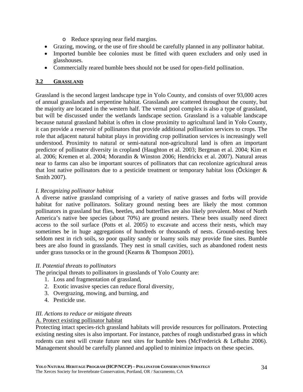- o Reduce spraying near field margins.
- Grazing, mowing, or the use of fire should be carefully planned in any pollinator habitat.
- Imported bumble bee colonies must be fitted with queen excluders and only used in glasshouses.
- Commercially reared bumble bees should not be used for open-field pollination.

#### **3.2 GRASSLAND**

Grassland is the second largest landscape type in Yolo County, and consists of over 93,000 acres of annual grasslands and serpentine habitat. Grasslands are scattered throughout the county, but the majority are located in the western half. The vernal pool complex is also a type of grassland, but will be discussed under the wetlands landscape section. Grassland is a valuable landscape because natural grassland habitat is often in close proximity to agricultural land in Yolo County, it can provide a reservoir of pollinators that provide additional pollination services to crops. The role that adjacent natural habitat plays in providing crop pollination services is increasingly well understood. Proximity to natural or semi-natural non-agricultural land is often an important predictor of pollinator diversity in cropland (Haughton et al. 2003; Bergman et al. 2004; Kim et al. 2006; Kremen et al. 2004; Morandin & Winston 2006; Hendrickx et al. 2007). Natural areas near to farms can also be important sources of pollinators that can recolonize agricultural areas that lost native pollinators due to a pesticide treatment or temporary habitat loss (Ockinger  $\&$ Smith 2007).

#### *I. Recognizing pollinator habitat*

A diverse native grassland comprising of a variety of native grasses and forbs will provide habitat for native pollinators. Solitary ground nesting bees are likely the most common pollinators in grassland but flies, beetles, and butterflies are also likely prevalent. Most of North America's native bee species (about 70%) are ground nesters. These bees usually need direct access to the soil surface (Potts et al. 2005) to excavate and access their nests, which may sometimes be in huge aggregations of hundreds or thousands of nests. Ground-nesting bees seldom nest in rich soils, so poor quality sandy or loamy soils may provide fine sites. Bumble bees are also found in grasslands. They nest in small cavities, such as abandoned rodent nests under grass tussocks or in the ground (Kearns & Thompson 2001).

#### *II. Potential threats to pollinators*

The principal threats to pollinators in grasslands of Yolo County are:

- 1. Loss and fragmentation of grassland,
- 2. Exotic invasive species can reduce floral diversity,
- 3. Overgrazing, mowing, and burning, and
- 4. Pesticide use.

#### *III. Actions to reduce or mitigate threats*

#### A. Protect existing pollinator habitat

Protecting intact species-rich grassland habitats will provide resources for pollinators. Protecting existing nesting sites is also important. For instance, patches of rough undisturbed grass in which rodents can nest will create future nest sites for bumble bees (McFrederick & LeBuhn 2006). Management should be carefully planned and applied to minimize impacts on these species.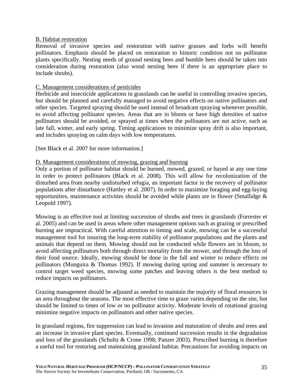#### B. Habitat restoration

Removal of invasive species and restoration with native grasses and forbs will benefit pollinators. Emphasis should be placed on restoration to historic condition not on pollinator plants specifically. Nesting needs of ground nesting bees and bumble bees should be taken into consideration during restoration (also wood nesting bees if there is an appropriate place to include shrubs).

### C. Management considerations of pesticides

Herbicide and insecticide applications in grasslands can be useful in controlling invasive species, but should be planned and carefully managed to avoid negative effects on native pollinators and other species. Targeted spraying should be used instead of broadcast spraying whenever possible, to avoid affecting pollinator species. Areas that are in bloom or have high densities of native pollinators should be avoided, or sprayed at times when the pollinators are not active, such as late fall, winter, and early spring. Timing applications to minimize spray drift is also important, and includes spraying on calm days with low temperatures.

[See Black et al. 2007 for more information.]

### D. Management considerations of mowing, grazing and burning

Only a portion of pollinator habitat should be burned, mowed, grazed, or hayed at any one time in order to protect pollinators (Black et al. 2008). This will allow for recolonization of the disturbed area from nearby undisturbed refugia, an important factor in the recovery of pollinator populations after disturbance (Hartley et al. 2007). In order to maximize foraging and egg-laying opportunities, maintenance activities should be avoided while plants are in flower (Smallidge  $\&$ Leopold 1997).

Mowing is an effective tool at limiting succession of shrubs and trees in grasslands (Forrester et al. 2005) and can be used in areas where other management options such as grazing or prescribed burning are impractical. With careful attention to timing and scale, mowing can be a successful management tool for insuring the long-term stability of pollinator populations and the plants and animals that depend on them. Mowing should not be conducted while flowers are in bloom, to avoid affecting pollinators both through direct mortality from the mower, and through the loss of their food source. Ideally, mowing should be done in the fall and winter to reduce effects on pollinators (Munguira & Thomas 1992). If mowing during spring and summer is necessary to control target weed species, mowing some patches and leaving others is the best method to reduce impacts on pollinators.

Grazing management should be adjusted as needed to maintain the majority of floral resources in an area throughout the seasons. The most effective time to graze varies depending on the site, but should be limited to times of low or no pollinator activity. Moderate levels of rotational grazing minimize negative impacts on pollinators and other native species.

In grassland regions, fire suppression can lead to invasion and maturation of shrubs and trees and an increase in invasive plant species. Eventually, continued succession results in the degradation and loss of the grasslands (Schultz & Crone 1998; Panzer 2003). Prescribed burning is therefore a useful tool for restoring and maintaining grassland habitat. Precautions for avoiding impacts on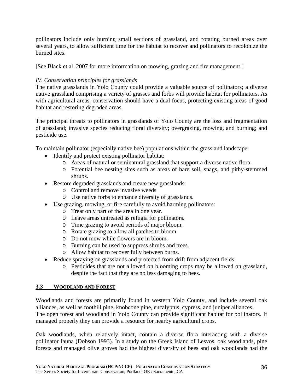pollinators include only burning small sections of grassland, and rotating burned areas over several years, to allow sufficient time for the habitat to recover and pollinators to recolonize the burned sites.

[See Black et al. 2007 for more information on mowing, grazing and fire management.]

## *IV. Conservation principles for grasslands*

The native grasslands in Yolo County could provide a valuable source of pollinators; a diverse native grassland comprising a variety of grasses and forbs will provide habitat for pollinators. As with agricultural areas, conservation should have a dual focus, protecting existing areas of good habitat and restoring degraded areas.

The principal threats to pollinators in grasslands of Yolo County are the loss and fragmentation of grassland; invasive species reducing floral diversity; overgrazing, mowing, and burning; and pesticide use.

To maintain pollinator (especially native bee) populations within the grassland landscape:

- Identify and protect existing pollinator habitat:
	- o Areas of natural or seminatural grassland that support a diverse native flora.
	- o Potential bee nesting sites such as areas of bare soil, snags, and pithy-stemmed shrubs.
- Restore degraded grasslands and create new grasslands:
	- o Control and remove invasive weeds
	- o Use native forbs to enhance diversity of grasslands.
- Use grazing, mowing, or fire carefully to avoid harming pollinators:
	- o Treat only part of the area in one year.
	- o Leave areas untreated as refugia for pollinators.
	- o Time grazing to avoid periods of major bloom.
	- o Rotate grazing to allow all patches to bloom.
	- o Do not mow while flowers are in bloom.
	- o Burning can be used to suppress shrubs and trees.
	- o Allow habitat to recover fully between burns.
- Reduce spraying on grasslands and protected from drift from adjacent fields:
	- o Pesticides that are not allowed on blooming crops may be allowed on grassland, despite the fact that they are no less damaging to bees.

#### **3.3 WOODLAND AND FOREST**

Woodlands and forests are primarily found in western Yolo County, and include several oak alliances, as well as foothill pine, knobcone pine, eucalyptus, cypress, and juniper alliances. The open forest and woodland in Yolo County can provide significant habitat for pollinators. If managed properly they can provide a resource for nearby agricultural crops.

Oak woodlands, when relatively intact, contain a diverse flora interacting with a diverse pollinator fauna (Dobson 1993). In a study on the Greek Island of Lesvos, oak woodlands, pine forests and managed olive groves had the highest diversity of bees and oak woodlands had the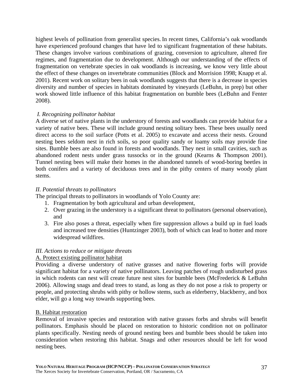highest levels of pollination from generalist species. In recent times, California's oak woodlands have experienced profound changes that have led to significant fragmentation of these habitats. These changes involve various combinations of grazing, conversion to agriculture, altered fire regimes, and fragmentation due to development. Although our understanding of the effects of fragmentation on vertebrate species in oak woodlands is increasing, we know very little about the effect of these changes on invertebrate communities (Block and Morrision 1998; Knapp et al. 2001). Recent work on solitary bees in oak woodlands suggests that there is a decrease in species diversity and number of species in habitats dominated by vineyards (LeBuhn, in prep) but other work showed little influence of this habitat fragmentation on bumble bees (LeBuhn and Fenter 2008).

## *I. Recognizing pollinator habitat*

A diverse set of native plants in the understory of forests and woodlands can provide habitat for a variety of native bees. These will include ground nesting solitary bees. These bees usually need direct access to the soil surface (Potts et al. 2005) to excavate and access their nests. Ground nesting bees seldom nest in rich soils, so poor quality sandy or loamy soils may provide fine sites. Bumble bees are also found in forests and woodlands. They nest in small cavities, such as abandoned rodent nests under grass tussocks or in the ground (Kearns & Thompson 2001). Tunnel nesting bees will make their homes in the abandoned tunnels of wood-boring beetles in both conifers and a variety of deciduous trees and in the pithy centers of many woody plant stems.

## *II. Potential threats to pollinators*

The principal threats to pollinators in woodlands of Yolo County are:

- 1. Fragmentation by both agricultural and urban development,
- 2. Over grazing in the understory is a significant threat to pollinators (personal observation), and
- 3. Fire also poses a threat, especially when fire suppression allows a build up in fuel loads and increased tree densities (Huntzinger 2003), both of which can lead to hotter and more widespread wildfires.

## *III. Actions to reduce or mitigate threats*

## A. Protect existing pollinator habitat

Providing a diverse understory of native grasses and native flowering forbs will provide significant habitat for a variety of native pollinators. Leaving patches of rough undisturbed grass in which rodents can nest will create future nest sites for bumble bees (McFrederick & LeBuhn 2006). Allowing snags and dead trees to stand, as long as they do not pose a risk to property or people, and protecting shrubs with pithy or hollow stems, such as elderberry, blackberry, and box elder, will go a long way towards supporting bees.

## B. Habitat restoration

Removal of invasive species and restoration with native grasses forbs and shrubs will benefit pollinators. Emphasis should be placed on restoration to historic condition not on pollinator plants specifically. Nesting needs of ground nesting bees and bumble bees should be taken into consideration when restoring this habitat. Snags and other resources should be left for wood nesting bees.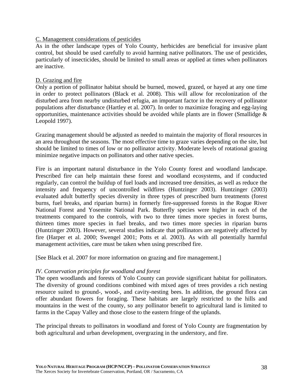### C. Management considerations of pesticides

As in the other landscape types of Yolo County, herbicides are beneficial for invasive plant control, but should be used carefully to avoid harming native pollinators. The use of pesticides, particularly of insecticides, should be limited to small areas or applied at times when pollinators are inactive.

### D. Grazing and fire

Only a portion of pollinator habitat should be burned, mowed, grazed, or hayed at any one time in order to protect pollinators (Black et al. 2008). This will allow for recolonization of the disturbed area from nearby undisturbed refugia, an important factor in the recovery of pollinator populations after disturbance (Hartley et al. 2007). In order to maximize foraging and egg-laying opportunities, maintenance activities should be avoided while plants are in flower (Smallidge & Leopold 1997).

Grazing management should be adjusted as needed to maintain the majority of floral resources in an area throughout the seasons. The most effective time to graze varies depending on the site, but should be limited to times of low or no pollinator activity. Moderate levels of rotational grazing minimize negative impacts on pollinators and other native species.

Fire is an important natural disturbance in the Yolo County forest and woodland landscape. Prescribed fire can help maintain these forest and woodland ecosystems, and if conducted regularly, can control the buildup of fuel loads and increased tree densities, as well as reduce the intensity and frequency of uncontrolled wildfires (Huntzinger 2003). Huntzinger (2003) evaluated adult butterfly species diversity in three types of prescribed burn treatments (forest burns, fuel breaks, and riparian burns) in formerly fire-suppressed forests in the Rogue River National Forest and Yosemite National Park. Butterfly species were higher in each of the treatments compared to the controls, with two to three times more species in forest burns, thirteen times more species in fuel breaks, and two times more species in riparian burns (Huntzinger 2003). However, several studies indicate that pollinators are negatively affected by fire (Harper et al. 2000; Swengel 2001; Potts et al. 2003). As with all potentially harmful management activities, care must be taken when using prescribed fire.

[See Black et al. 2007 for more information on grazing and fire management.]

#### *IV. Conservation principles for woodland and forest*

The open woodlands and forests of Yolo County can provide significant habitat for pollinators. The diversity of ground conditions combined with mixed ages of trees provides a rich nesting resource suited to ground-, wood-, and cavity-nesting bees. In addition, the ground flora can offer abundant flowers for foraging. These habitats are largely restricted to the hills and mountains in the west of the county, so any pollinator benefit to agricultural land is limited to farms in the Capay Valley and those close to the eastern fringe of the uplands.

The principal threats to pollinators in woodland and forest of Yolo County are fragmentation by both agricultural and urban development, overgrazing in the understory, and fire.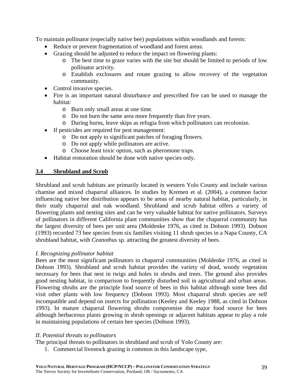To maintain pollinator (especially native bee) populations within woodlands and forests:

- Reduce or prevent fragmentation of woodland and forest areas.
- Grazing should be adjusted to reduce the impact on flowering plants:
	- o The best time to graze varies with the site but should be limited to periods of low pollinator activity.
	- o Establish exclosures and rotate grazing to allow recovery of the vegetation community.
- Control invasive species.
- Fire is an important natural disturbance and prescribed fire can be used to manage the habitat:
	- o Burn only small areas at one time.
	- o Do not burn the same area more frequently than five years.
	- o During burns, leave skips as refugia from which pollinators can recolonize.
- If pesticides are required for pest management:
	- o Do not apply to significant patches of foraging flowers.
	- o Do not apply while pollinators are active.
	- o Choose least toxic option, such as pheromone traps.
- Habitat restoration should be done with native species only.

### **3.4 Shrubland and Scrub**

Shrubland and scrub habitats are primarily located in western Yolo County and include various chamise and mixed chaparral alliances. In studies by Kremen et al. (2004), a common factor influencing native bee distribution appears to be areas of nearby natural habitat, particularly, in their study chaparral and oak woodland. Shrubland and scrub habitat offers a variety of flowering plants and nesting sites and can be very valuable habitat for native pollinators. Surveys of pollinators in different California plant communities show that the chaparral community has the largest diversity of bees per unit area (Moldenke 1976, as cited in Dobson 1993). Dobson (1993) recorded 73 bee species from six families visiting 11 shrub species in a Napa County, CA shrubland habitat, with *Ceanothus* sp. attracting the greatest diversity of bees.

#### *I. Recognizing pollinator habitat*

Bees are the most significant pollinators in chaparral communities (Moldenke 1976, as cited in Dobson 1993). Shrubland and scrub habitat provides the variety of dead, woody vegetation necessary for bees that nest in twigs and holes in shrubs and trees. The ground also provides good nesting habitat, in comparison to frequently disturbed soil in agricultural and urban areas. Flowering shrubs are the principle food source of bees in this habitat although some bees did visit other plants with low frequency (Dobson 1993). Most chaparral shrub species are self incompatible and depend on insects for pollination (Keeley and Keeley 1988, as cited in Dobson 1993). In mature chaparral flowering shrubs compromise the major food source for bees although herbaceous plants growing in shrub openings or adjacent habitats appear to play a role in maintaining populations of certain bee species (Dobson 1993).

#### *II. Potential threats to pollinators*

The principal threats to pollinators in shrubland and scrub of Yolo County are:

1. Commercial livestock grazing is common in this landscape type,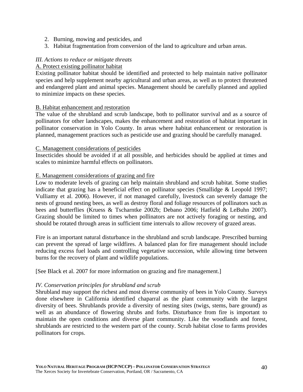- 2. Burning, mowing and pesticides, and
- 3. Habitat fragmentation from conversion of the land to agriculture and urban areas.

#### *III. Actions to reduce or mitigate threats*

#### A. Protect existing pollinator habitat

Existing pollinator habitat should be identified and protected to help maintain native pollinator species and help supplement nearby agricultural and urban areas, as well as to protect threatened and endangered plant and animal species. Management should be carefully planned and applied to minimize impacts on these species.

#### B. Habitat enhancement and restoration

The value of the shrubland and scrub landscape, both to pollinator survival and as a source of pollinators for other landscapes, makes the enhancement and restoration of habitat important in pollinator conservation in Yolo County. In areas where habitat enhancement or restoration is planned, management practices such as pesticide use and grazing should be carefully managed.

#### C. Management considerations of pesticides

Insecticides should be avoided if at all possible, and herbicides should be applied at times and scales to minimize harmful effects on pollinators.

#### E. Management considerations of grazing and fire

Low to moderate levels of grazing can help maintain shrubland and scrub habitat. Some studies indicate that grazing has a beneficial effect on pollinator species (Smallidge & Leopold 1997; Vulliamy et al. 2006). However, if not managed carefully, livestock can severely damage the nests of ground nesting bees, as well as destroy floral and foliage resources of pollinators such as bees and butterflies (Kruess & Tscharntke 2002b; Debano 2006; Hatfield & LeBuhn 2007). Grazing should be limited to times when pollinators are not actively foraging or nesting, and should be rotated through areas in sufficient time intervals to allow recovery of grazed areas.

Fire is an important natural disturbance in the shrubland and scrub landscape. Prescribed burning can prevent the spread of large wildfires. A balanced plan for fire management should include reducing excess fuel loads and controlling vegetative succession, while allowing time between burns for the recovery of plant and wildlife populations.

[See Black et al. 2007 for more information on grazing and fire management.]

#### *IV. Conservation principles for shrubland and scrub*

Shrubland may support the richest and most diverse community of bees in Yolo County. Surveys done elsewhere in California identified chaparral as the plant community with the largest diversity of bees. Shrublands provide a diversity of nesting sites (twigs, stems, bare ground) as well as an abundance of flowering shrubs and forbs. Disturbance from fire is important to maintain the open conditions and diverse plant community. Like the woodlands and forest, shrublands are restricted to the western part of the county. Scrub habitat close to farms provides pollinators for crops.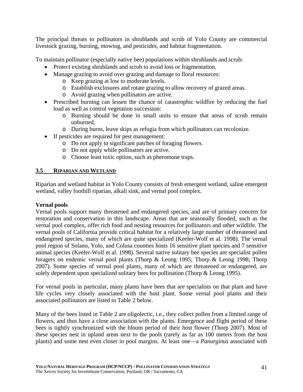The principal threats to pollinators in shrublands and scrub of Yolo County are commercial livestock grazing, burning, mowing, and pesticides, and habitat fragmentation.

To maintain pollinator (especially native bee) populations within shrublands and scrub:

- Protect existing shrublands and scrub to avoid loss or fragmentation.
- Manage grazing to avoid over grazing and damage to floral resources:
	- o Keep grazing at low to moderate levels.
	- o Establish exclosures and rotate grazing to allow recovery of grazed areas.
	- o Avoid grazing when pollinators are active.
- Prescribed burning can lessen the chance of catastrophic wildfire by reducing the fuel load as well as control vegetation succession:
	- o Burning should be done in small units to ensure that areas of scrub remain unburned.
	- o During burns, leave skips as refugia from which pollinators can recolonize.
- If pesticides are required for pest management:
	- o Do not apply to significant patches of foraging flowers.
	- o Do not apply while pollinators are active.
	- o Choose least toxic option, such as pheromone traps.

## **3.5 RIPARIAN AND WETLAND**

Riparian and wetland habitat in Yolo County consists of fresh emergent wetland, saline emergent wetland, valley foothill riparian, alkali sink, and vernal pool complex.

## **Vernal pools**

Vernal pools support many threatened and endangered species, and are of primary concern for restoration and conservation in this landscape. Areas that are seasonally flooded, such as the vernal pool complex, offer rich food and nesting resources for pollinators and other wildlife. The vernal pools of California provide critical habitat for a relatively large number of threatened and endangered species, many of which are quite specialized (Keeler-Wolf et al. 1998). The vernal pool region of Solano, Yolo, and Colusa counties hosts 16 sensitive plant species and 7 sensitive animal species (Keeler-Wolf et al. 1998). Several native solitary bee species are specialist pollen foragers on endemic vernal pool plants (Thorp & Leong 1995; Thorp & Leong 1998; Thorp 2007). Some species of vernal pool plants, many of which are threatened or endangered, are solely dependent upon specialized solitary bees for pollination (Thorp & Leong 1995).

For vernal pools in particular, many plants have bees that are specialists on that plant and have life cycles very closely associated with the host plant. Some vernal pool plants and their associated pollinators are listed in Table 2 below.

Many of the bees listed in Table 2 are oligolectic, i.e., they collect pollen from a limited range of flowers, and thus have a close association with the plants. Emergence and flight period of these bees is tightly synchronized with the bloom period of their host flower (Thorp 2007). Most of these species nest in upland areas next to the pools (rarely as far as 100 meters from the host plants) and some nest even closer in pool margins. At least one—a *Panurginus* associated with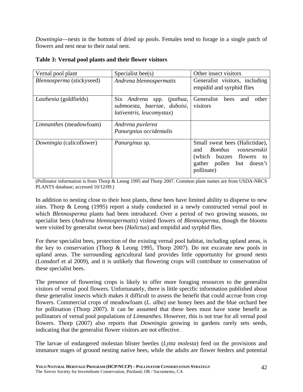*Downingia*—nests in the bottom of dried up pools. Females tend to forage in a single patch of flowers and nest near to their natal nest.

| Vernal pool plant              | Specialist bee $(s)$                                                                          | Other insect visitors                                                                                                                  |
|--------------------------------|-----------------------------------------------------------------------------------------------|----------------------------------------------------------------------------------------------------------------------------------------|
| Blennosperma (stickyseed)      | Andrena blennospermatis                                                                       | Generalist visitors, including<br>empidid and syrphid flies                                                                            |
| <i>Lasthenia</i> (goldfields)  | Six Andrena spp. (puthua,<br>submoesta, baeriae, duboisi,<br><i>lativentris, leucomystax)</i> | Generalist<br>bees<br>other<br>and<br>visitors                                                                                         |
| <i>Limnanthes</i> (meadowfoam) | Andrena puvlerea<br>Panurgnius occidentalis                                                   |                                                                                                                                        |
| Downingia (calicoflower)       | <i>Panurginus</i> sp.                                                                         | Small sweat bees (Halictidae),<br>Bombus vosnesenskii<br>and<br>(which buzzes flowers to<br>gather pollen<br>but doesn't<br>pollinate) |

|  |  |  | Table 3: Vernal pool plants and their flower visitors |
|--|--|--|-------------------------------------------------------|
|--|--|--|-------------------------------------------------------|

(Pollinator information is from Thorp & Leong 1995 and Thorp 2007. Common plant names are from USDA-NRCS PLANTS database; accessed 10/12/09.)

In addition to nesting close to their host plants, these bees have limited ability to disperse to new sites. Thorp & Leong (1995) report a study conducted in a newly constructed vernal pool in which *Blennosperma* plants had been introduced. Over a period of two growing seasons, no specialist bees (*Andrena blennospermatis*) visited flowers of *Blennosperma*, though the blooms were visited by generalist sweat bees (*Halictus*) and empidid and syrphid flies.

For these specialist bees, protection of the existing vernal pool habitat, including upland areas, is the key to conservation (Thorp & Leong 1995, Thorp 2007). Do not excavate new pools in upland areas. The surrounding agricultural land provides little opportunity for ground nests (Lonsdorf et al 2009), and it is unlikely that flowering crops will contribute to conservation of these specialist bees.

The presence of flowering crops is likely to offer more foraging resources to the generalist visitors of vernal pool flowers. Unfortunately, there is little specific information published about these generalist insects which makes it difficult to assess the benefit that could accrue from crop flowers. Commercial crops of meadowfoam (*L*. *alba*) use honey bees and the blue orchard bee for pollination (Thorp 2007). It can be assumed that these bees must have some benefit as pollinators of vernal pool populations of *Limnanthes*. However, this is not true for all vernal pool flowers. Thorp (2007) also reports that *Downingia* growing in gardens rarely sets seeds, indicating that the generalist flower visitors are not effective.

The larvae of endangered molestan blister beetles (*Lytta molesta*) feed on the provisions and immature stages of ground nesting native bees, while the adults are flower feeders and potential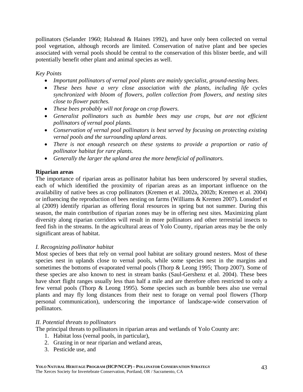pollinators (Selander 1960; Halstead & Haines 1992), and have only been collected on vernal pool vegetation, although records are limited. Conservation of native plant and bee species associated with vernal pools should be central to the conservation of this blister beetle, and will potentially benefit other plant and animal species as well.

*Key Points* 

- *Important pollinators of vernal pool plants are mainly specialist, ground-nesting bees.*
- *These bees have a very close association with the plants, including life cycles synchronized with bloom of flowers, pollen collection from flowers, and nesting sites close to flower patches.*
- *These bees probably will not forage on crop flowers.*
- *Generalist pollinators such as bumble bees may use crops, but are not efficient pollinators of vernal pool plants.*
- *Conservation of vernal pool pollinators is best served by focusing on protecting existing vernal pools and the surrounding upland areas.*
- *There is not enough research on these systems to provide a proportion or ratio of pollinator habitat for rare plants.*
- *Generally the larger the upland area the more beneficial of pollinators.*

### **Riparian areas**

The importance of riparian areas as pollinator habitat has been underscored by several studies, each of which identified the proximity of riparian areas as an important influence on the availability of native bees as crop pollinators (Kremen et al. 2002a, 2002b; Kremen et al. 2004) or influencing the reproduction of bees nesting on farms (Williams & Kremen 2007). Lonsdorf et al (2009) identify riparian as offering floral resources in spring but not summer. During this season, the main contribution of riparian zones may be in offering nest sites. Maximizing plant diversity along riparian corridors will result in more pollinators and other terrestrial insects to feed fish in the streams. In the agricultural areas of Yolo County, riparian areas may be the only significant areas of habitat.

#### *I. Recognizing pollinator habitat*

Most species of bees that rely on vernal pool habitat are solitary ground nesters. Most of these species nest in uplands close to vernal pools, while some species nest in the margins and sometimes the bottoms of evaporated vernal pools (Thorp & Leong 1995; Thorp 2007). Some of these species are also known to nest in stream banks (Saul-Gershenz et al. 2004). These bees have short flight ranges usually less than half a mile and are therefore often restricted to only a few vernal pools (Thorp & Leong 1995). Some species such as bumble bees also use vernal plants and may fly long distances from their nest to forage on vernal pool flowers (Thorp personal communication), underscoring the importance of landscape-wide conservation of pollinators.

#### *II. Potential threats to pollinators*

The principal threats to pollinators in riparian areas and wetlands of Yolo County are:

- 1. Habitat loss (vernal pools, in particular),
- 2. Grazing in or near riparian and wetland areas,
- 3. Pesticide use, and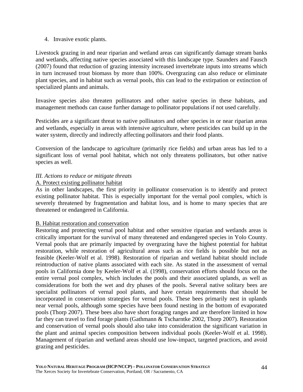#### 4. Invasive exotic plants.

Livestock grazing in and near riparian and wetland areas can significantly damage stream banks and wetlands, affecting native species associated with this landscape type. Saunders and Fausch (2007) found that reduction of grazing intensity increased invertebrate inputs into streams which in turn increased trout biomass by more than 100%. Overgrazing can also reduce or eliminate plant species, and in habitat such as vernal pools, this can lead to the extirpation or extinction of specialized plants and animals.

Invasive species also threaten pollinators and other native species in these habitats, and management methods can cause further damage to pollinator populations if not used carefully.

Pesticides are a significant threat to native pollinators and other species in or near riparian areas and wetlands, especially in areas with intensive agriculture, where pesticides can build up in the water system, directly and indirectly affecting pollinators and their food plants.

Conversion of the landscape to agriculture (primarily rice fields) and urban areas has led to a significant loss of vernal pool habitat, which not only threatens pollinators, but other native species as well.

## *III. Actions to reduce or mitigate threats*

## A. Protect existing pollinator habitat

As in other landscapes, the first priority in pollinator conservation is to identify and protect existing pollinator habitat. This is especially important for the vernal pool complex, which is severely threatened by fragmentation and habitat loss, and is home to many species that are threatened or endangered in California.

## B. Habitat restoration and conservation

Restoring and protecting vernal pool habitat and other sensitive riparian and wetlands areas is critically important for the survival of many threatened and endangered species in Yolo County. Vernal pools that are primarily impacted by overgrazing have the highest potential for habitat restoration, while restoration of agricultural areas such as rice fields is possible but not as feasible (Keeler-Wolf et al. 1998). Restoration of riparian and wetland habitat should include reintroduction of native plants associated with each site. As stated in the assessment of vernal pools in California done by Keeler-Wolf et al. (1998), conservation efforts should focus on the entire vernal pool complex, which includes the pools and their associated uplands, as well as considerations for both the wet and dry phases of the pools. Several native solitary bees are specialist pollinators of vernal pool plants, and have certain requirements that should be incorporated in conservation strategies for vernal pools. These bees primarily nest in uplands near vernal pools, although some species have been found nesting in the bottom of evaporated pools (Thorp 2007). These bees also have short foraging ranges and are therefore limited in how far they can travel to find forage plants (Gathmann & Tscharntke 2002, Thorp 2007). Restoration and conservation of vernal pools should also take into consideration the significant variation in the plant and animal species composition between individual pools (Keeler-Wolf et al. 1998). Management of riparian and wetland areas should use low-impact, targeted practices, and avoid grazing and pesticides.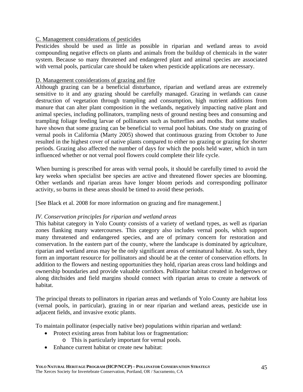## C. Management considerations of pesticides

Pesticides should be used as little as possible in riparian and wetland areas to avoid compounding negative effects on plants and animals from the buildup of chemicals in the water system. Because so many threatened and endangered plant and animal species are associated with vernal pools, particular care should be taken when pesticide applications are necessary.

## D. Management considerations of grazing and fire

Although grazing can be a beneficial disturbance, riparian and wetland areas are extremely sensitive to it and any grazing should be carefully managed. Grazing in wetlands can cause destruction of vegetation through trampling and consumption, high nutrient additions from manure that can alter plant composition in the wetlands, negatively impacting native plant and animal species, including pollinators, trampling nests of ground nesting bees and consuming and trampling foliage feeding larvae of pollinators such as butterflies and moths. But some studies have shown that some grazing can be beneficial to vernal pool habitats. One study on grazing of vernal pools in California (Marty 2005) showed that continuous grazing from October to June resulted in the highest cover of native plants compared to either no grazing or grazing for shorter periods. Grazing also affected the number of days for which the pools held water, which in turn influenced whether or not vernal pool flowers could complete their life cycle.

When burning is prescribed for areas with vernal pools, it should be carefully timed to avoid the key weeks when specialist bee species are active and threatened flower species are blooming. Other wetlands and riparian areas have longer bloom periods and corresponding pollinator activity, so burns in these areas should be timed to avoid these periods.

[See Black et al. 2008 for more information on grazing and fire management.]

## *IV. Conservation principles for riparian and wetland areas*

This habitat category in Yolo County consists of a variety of wetland types, as well as riparian zones flanking many watercourses. This category also includes vernal pools, which support many threatened and endangered species, and are of primary concern for restoration and conservation. In the eastern part of the county, where the landscape is dominated by agriculture, riparian and wetland areas may be the only significant areas of seminatural habitat. As such, they form an important resource for pollinators and should be at the center of conservation efforts. In addition to the flowers and nesting opportunities they hold, riparian areas cross land holdings and ownership boundaries and provide valuable corridors. Pollinator habitat created in hedgerows or along ditchsides and field margins should connect with riparian areas to create a network of habitat.

The principal threats to pollinators in riparian areas and wetlands of Yolo County are habitat loss (vernal pools, in particular), grazing in or near riparian and wetland areas, pesticide use in adjacent fields, and invasive exotic plants.

To maintain pollinator (especially native bee) populations within riparian and wetland:

- Protect existing areas from habitat loss or fragmentation:
	- o This is particularly important for vernal pools.
- Enhance current habitat or create new habitat: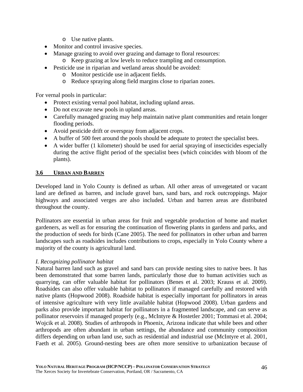- o Use native plants.
- Monitor and control invasive species.
- Manage grazing to avoid over grazing and damage to floral resources:
	- o Keep grazing at low levels to reduce trampling and consumption.
- Pesticide use in riparian and wetland areas should be avoided:
	- o Monitor pesticide use in adjacent fields.
	- o Reduce spraying along field margins close to riparian zones.

For vernal pools in particular:

- Protect existing vernal pool habitat, including upland areas.
- Do not excavate new pools in upland areas.
- Carefully managed grazing may help maintain native plant communities and retain longer flooding periods.
- Avoid pesticide drift or overspray from adjacent crops.
- A buffer of 500 feet around the pools should be adequate to protect the specialist bees.
- A wider buffer (1 kilometer) should be used for aerial spraying of insecticides especially during the active flight period of the specialist bees (which coincides with bloom of the plants).

## **3.6 URBAN AND BARREN**

Developed land in Yolo County is defined as urban. All other areas of unvegetated or vacant land are defined as barren, and include gravel bars, sand bars, and rock outcroppings. Major highways and associated verges are also included. Urban and barren areas are distributed throughout the county.

Pollinators are essential in urban areas for fruit and vegetable production of home and market gardeners, as well as for ensuring the continuation of flowering plants in gardens and parks, and the production of seeds for birds (Cane 2005). The need for pollinators in other urban and barren landscapes such as roadsides includes contributions to crops, especially in Yolo County where a majority of the county is agricultural land.

## *I. Recognizing pollinator habitat*

Natural barren land such as gravel and sand bars can provide nesting sites to native bees. It has been demonstrated that some barren lands, particularly those due to human activities such as quarrying, can offer valuable habitat for pollinators (Benes et al. 2003; Krauss et al. 2009). Roadsides can also offer valuable habitat to pollinators if managed carefully and restored with native plants (Hopwood 2008). Roadside habitat is especially important for pollinators in areas of intensive agriculture with very little available habitat (Hopwood 2008). Urban gardens and parks also provide important habitat for pollinators in a fragmented landscape, and can serve as pollinator reservoirs if managed properly (e.g., McIntyre & Hostetler 2001; Tommasi et al. 2004; Wojcik et al. 2008). Studies of arthropods in Phoenix, Arizona indicate that while bees and other arthropods are often abundant in urban settings, the abundance and community composition differs depending on urban land use, such as residential and industrial use (McIntyre et al. 2001, Faeth et al. 2005). Ground-nesting bees are often more sensitive to urbanization because of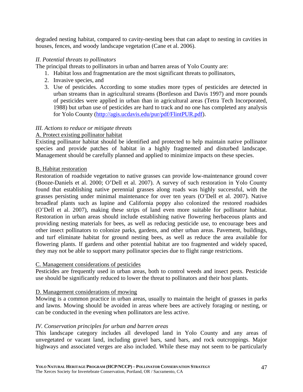degraded nesting habitat, compared to cavity-nesting bees that can adapt to nesting in cavities in houses, fences, and woody landscape vegetation (Cane et al. 2006).

### *II. Potential threats to pollinators*

The principal threats to pollinators in urban and barren areas of Yolo County are:

- 1. Habitat loss and fragmentation are the most significant threats to pollinators,
- 2. Invasive species, and
- 3. Use of pesticides. According to some studies more types of pesticides are detected in urban streams than in agricultural streams (Bortleson and Davis 1997) and more pounds of pesticides were applied in urban than in agricultural areas (Tetra Tech Incorporated, 1988) but urban use of pesticides are hard to track and no one has completed any analysis for Yolo County (http://agis.ucdavis.edu/pur/pdf/FlintPUR.pdf).

## *III. Actions to reduce or mitigate threats*

### A. Protect existing pollinator habitat

Existing pollinator habitat should be identified and protected to help maintain native pollinator species and provide patches of habitat in a highly fragmented and disturbed landscape. Management should be carefully planned and applied to minimize impacts on these species.

### B. Habitat restoration

Restoration of roadside vegetation to native grasses can provide low-maintenance ground cover (Booze-Daniels et al. 2000; O'Dell et al. 2007). A survey of such restoration in Yolo County found that establishing native perennial grasses along roads was highly successful, with the grasses persisting under minimal maintenance for over ten years (O'Dell et al. 2007). Native broadleaf plants such as lupine and California poppy also colonized the restored roadsides (O'Dell et al. 2007), making these strips of land even more suitable for pollinator habitat. Restoration in urban areas should include establishing native flowering herbaceous plants and providing nesting materials for bees, as well as reducing pesticide use, to encourage bees and other insect pollinators to colonize parks, gardens, and other urban areas. Pavement, buildings, and turf eliminate habitat for ground nesting bees, as well as reduce the area available for flowering plants. If gardens and other potential habitat are too fragmented and widely spaced, they may not be able to support many pollinator species due to flight range restrictions.

#### C. Management considerations of pesticides

Pesticides are frequently used in urban areas, both to control weeds and insect pests. Pesticide use should be significantly reduced to lower the threat to pollinators and their host plants.

#### D. Management considerations of mowing

Mowing is a common practice in urban areas, usually to maintain the height of grasses in parks and lawns. Mowing should be avoided in areas where bees are actively foraging or nesting, or can be conducted in the evening when pollinators are less active.

#### *IV. Conservation principles for urban and barren areas*

This landscape category includes all developed land in Yolo County and any areas of unvegetated or vacant land, including gravel bars, sand bars, and rock outcroppings. Major highways and associated verges are also included. While these may not seem to be particularly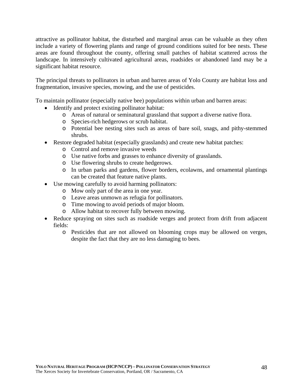attractive as pollinator habitat, the disturbed and marginal areas can be valuable as they often include a variety of flowering plants and range of ground conditions suited for bee nests. These areas are found throughout the county, offering small patches of habitat scattered across the landscape. In intensively cultivated agricultural areas, roadsides or abandoned land may be a significant habitat resource.

The principal threats to pollinators in urban and barren areas of Yolo County are habitat loss and fragmentation, invasive species, mowing, and the use of pesticides.

To maintain pollinator (especially native bee) populations within urban and barren areas:

- Identify and protect existing pollinator habitat:
	- o Areas of natural or seminatural grassland that support a diverse native flora.
	- o Species-rich hedgerows or scrub habitat.
	- o Potential bee nesting sites such as areas of bare soil, snags, and pithy-stemmed shrubs.
- Restore degraded habitat (especially grasslands) and create new habitat patches:
	- o Control and remove invasive weeds
	- o Use native forbs and grasses to enhance diversity of grasslands.
	- o Use flowering shrubs to create hedgerows.
	- o In urban parks and gardens, flower borders, ecolawns, and ornamental plantings can be created that feature native plants.
- Use mowing carefully to avoid harming pollinators:
	- o Mow only part of the area in one year.
	- o Leave areas unmown as refugia for pollinators.
	- o Time mowing to avoid periods of major bloom.
	- o Allow habitat to recover fully between mowing.
- Reduce spraying on sites such as roadside verges and protect from drift from adjacent fields:
	- o Pesticides that are not allowed on blooming crops may be allowed on verges, despite the fact that they are no less damaging to bees.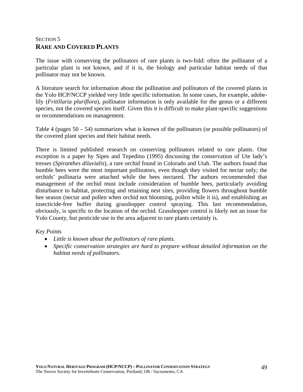# SECTION<sub>5</sub> **RARE AND COVERED PLANTS**

The issue with conserving the pollinators of rare plants is two-fold: often the pollinator of a particular plant is not known, and if it is, the biology and particular habitat needs of that pollinator may not be known.

A literature search for information about the pollination and pollinators of the covered plants in the Yolo HCP/NCCP yielded very little specific information. In some cases, for example, adobelily (*Fritillaria pluriflora*), pollinator information is only available for the genus or a different species, not the covered species itself. Given this it is difficult to make plant-specific suggestions or recommendations on management.

Table 4 (pages  $50 - 54$ ) summarizes what is known of the pollinators (or possible pollinators) of the covered plant species and their habitat needs.

There is limited published research on conserving pollinators related to rare plants. One exception is a paper by Sipes and Tepedino (1995) discussing the conservation of Ute lady's tresses (*Spiranthes diluvialis*), a rare orchid found in Colorado and Utah. The authors found that bumble bees were the most important pollinators, even though they visited for nectar only; the orchids' pollinaria were attached while the bees nectared. The authors recommended that management of the orchid must include consideration of bumble bees, particularly avoiding disturbance to habitat, protecting and retaining nest sites, providing flowers throughout bumble bee season (nectar and pollen when orchid not blooming, pollen while it is), and establishing an insecticide-free buffer during grasshopper control spraying. This last recommendation, obviously, is specific to the location of the orchid. Grasshopper control is likely not an issue for Yolo County, but pesticide use in the area adjacent to rare plants certainly is.

#### *Key Points*

- *Little is known about the pollinators of rare plants.*
- *Specific conservation strategies are hard to prepare without detailed information on the habitat needs of pollinators.*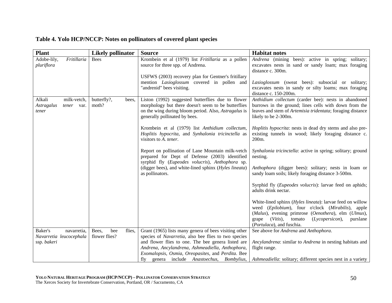| <b>Plant</b>               | <b>Likely pollinator</b> | <b>Source</b>                                               | <b>Habitat notes</b>                                          |
|----------------------------|--------------------------|-------------------------------------------------------------|---------------------------------------------------------------|
| Adobe-lily,<br>Fritillaria | <b>Bees</b>              | Krombein et al (1979) list Fritillaria as a pollen          | Andrena (mining bees): active in spring; solitary;            |
| pluriflora                 |                          | source for three spp. of Andrena.                           | excavates nests in sand or sandy loam; max foraging           |
|                            |                          |                                                             | distance c. 300m.                                             |
|                            |                          | USFWS (2003) recovery plan for Gentner's fritillary         |                                                               |
|                            |                          | mention <i>Lasioglossum</i> covered in pollen and           | Lasioglossum (sweat bees): subsocial or solitary;             |
|                            |                          | "andrenid" bees visiting.                                   | excavates nests in sandy or silty loams; max foraging         |
|                            |                          |                                                             | distance c. 150-200m.                                         |
| milk-vetch,<br>Alkali      | butterfly?,<br>bees,     | Liston (1992) suggested butterflies due to flower           | Anthidium collectum (carder bee): nests in abandoned          |
| Astragalus<br>tener var.   | moth?                    | morphology but there doesn't seem to be butterflies         | burrows in the ground; lines cells with down from the         |
| tener                      |                          | on the wing during bloom period. Also, <i>Astragalus</i> is | leaves and stem of Artemisia tridentata; foraging distance    |
|                            |                          | generally pollinated by bees.                               | likely to be 2-300m.                                          |
|                            |                          | Krombein et al (1979) list Anthidium collectum,             | Hoplitis hypocrita: nests in dead dry stems and also pre-     |
|                            |                          | Hoplitis hypocrita, and Synhalonia tricinctella as          | existing tunnels in wood; likely foraging distance c.         |
|                            |                          | visitors to A. tener.                                       | 200 <sub>m</sub> .                                            |
|                            |                          |                                                             |                                                               |
|                            |                          | Report on pollination of Lane Mountain milk-vetch           | Synhalonia tricinctella: active in spring; solitary; ground   |
|                            |                          | prepared for Dept of Defense (2003) identified              | nesting.                                                      |
|                            |                          | syrphid fly (Eupeodes volucris), Anthophora sp.             |                                                               |
|                            |                          | (digger bees), and white-lined sphinx (Hyles lineata)       | Anthophora (digger bees): solitary; nests in loam or          |
|                            |                          | as pollinators.                                             | sandy loam soils; likely foraging distance 3-500m.            |
|                            |                          |                                                             |                                                               |
|                            |                          |                                                             | Syrphid fly (Eupeodes volucris): larvae feed on aphids;       |
|                            |                          |                                                             | adults drink nectar.                                          |
|                            |                          |                                                             | White-lined sphinx (Hyles lineata): larvae feed on willow     |
|                            |                          |                                                             | weed (Epilobium), four o'clock (Mirabilis), apple             |
|                            |                          |                                                             | (Malus), evening primrose (Oenothera), elm (Ulmus),           |
|                            |                          |                                                             | (Lycopersicon),<br>$(Vitis)$ ,<br>tomato<br>purslane<br>grape |
|                            |                          |                                                             | (Portulaca), and fuschia.                                     |
| Baker's<br>navarretia,     | bee<br>flies,<br>Bees,   | Grant (1965) lists many genera of bees visiting other       | See above for Andrena and Anthophora.                         |
| Navarretia leucocephala    | flower flies?            | species of Navarretia, also bee flies to two species        |                                                               |
| ssp. bakeri                |                          | and flower flies to one. The bee genera listed are          | Ancylandrena: similar to Andrena in nesting habitats and      |
|                            |                          | Andrena, Ancylandrena, Ashmeadiella, Anthophora,            | flight range.                                                 |
|                            |                          | Exomalopsis, Osmia, Oreopasites, and Perdita. Bee           |                                                               |
|                            |                          | fly genera include Anastoechus, Bombylius,                  | Ashmeadiella: solitary; different species nest in a variety   |

### **Table 4. Yolo HCP/NCCP: Notes on pollinators of covered plant species**

*Ashmeadiella*: solitary; different species nest in a variety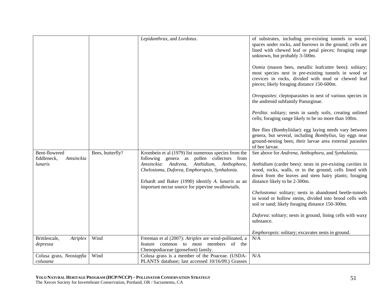|                                                      |                  | Lepidanthrax, and Lordotus.                                                                                                                                                                                                                                                                                      | of substrates, including pre-existing tunnels in wood,<br>spaces under rocks, and burrows in the ground; cells are<br>lined with chewed leaf or petal pieces; foraging range<br>unknown, but probably 3-500m.<br>Osmia (mason bees, metallic leafcutter bees): solitary;<br>most species nest in pre-existing tunnels in wood or<br>crevices in rocks, divided with mud or chewed leaf<br>pieces; likely foraging distance 150-600m.<br>Oreopasites: cleptoparasites in nest of various species in<br>the andrenid subfamily Panurginae.<br>Perdita: solitary; nests in sandy soils, creating unlined<br>cells; foraging range likely to be no more than 100m.<br>Bee flies (Bombyliidae): egg laying needs vary between<br>genera, but several, including Bombylius, lay eggs near |
|------------------------------------------------------|------------------|------------------------------------------------------------------------------------------------------------------------------------------------------------------------------------------------------------------------------------------------------------------------------------------------------------------|-------------------------------------------------------------------------------------------------------------------------------------------------------------------------------------------------------------------------------------------------------------------------------------------------------------------------------------------------------------------------------------------------------------------------------------------------------------------------------------------------------------------------------------------------------------------------------------------------------------------------------------------------------------------------------------------------------------------------------------------------------------------------------------|
|                                                      |                  |                                                                                                                                                                                                                                                                                                                  | ground-nesting bees; their larvae area external parasites<br>of bee larvae.                                                                                                                                                                                                                                                                                                                                                                                                                                                                                                                                                                                                                                                                                                         |
| Bent-flowered<br>fiddleneck,<br>Amsinckia<br>lunaris | Bees, butterfly? | Krombein et al (1979) list numerous species from the<br>following genera as pollen collectors from<br>Amsinckia: Andrena,<br>Anthidium, Anthophora,<br>Chelostoma, Duforea, Emphoropsis, Synhalonia.<br>Erhardt and Baker (1990) identify A. lunaris as an<br>important nectar source for pipevine swallowtails. | See above for Andrena, Anthophora, and Synhalonia.<br>Anthidium (carder bees): nests in pre-existing cavities in<br>wood, rocks, walls, or in the ground; cells lined with<br>down from the leaves and stem hairy plants; foraging<br>distance likely to be 2-300m.<br>Chelostoma: solitary; nests in abandoned beetle-tunnels<br>in wood or hollow stems, divided into brood cells with<br>soil or sand; likely foraging distance 150-300m.<br>Duforea: solitary; nests in ground, lining cells with waxy<br>substance.                                                                                                                                                                                                                                                            |
| Brittlescale,<br>Atriplex                            | Wind             | Freeman et al (2007): Atriplex are wind-pollinated, a                                                                                                                                                                                                                                                            | <i>Emphoropsis:</i> solitary; excavates nests in ground.<br>N/A                                                                                                                                                                                                                                                                                                                                                                                                                                                                                                                                                                                                                                                                                                                     |
| depressa                                             |                  | feature common to most members of the<br>Chenopodiaceae (goosefoot) family.                                                                                                                                                                                                                                      |                                                                                                                                                                                                                                                                                                                                                                                                                                                                                                                                                                                                                                                                                                                                                                                     |
| Colusa grass, Neostapfia                             | Wind             | Colusa grass is a member of the Poaceae. (USDA-                                                                                                                                                                                                                                                                  | N/A                                                                                                                                                                                                                                                                                                                                                                                                                                                                                                                                                                                                                                                                                                                                                                                 |
| colusana                                             |                  | PLANTS database; last accessed 10/16/09.) Grasses                                                                                                                                                                                                                                                                |                                                                                                                                                                                                                                                                                                                                                                                                                                                                                                                                                                                                                                                                                                                                                                                     |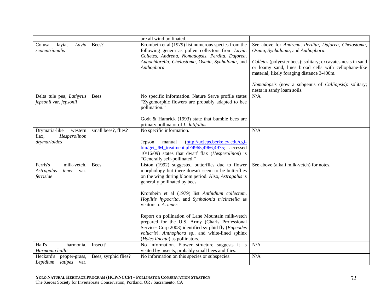|                                                                   |                      | are all wind pollinated.                                                                                                                                                                                                                                                                                                            |                                                                                                                                                                                                                                                                                                                                                         |
|-------------------------------------------------------------------|----------------------|-------------------------------------------------------------------------------------------------------------------------------------------------------------------------------------------------------------------------------------------------------------------------------------------------------------------------------------|---------------------------------------------------------------------------------------------------------------------------------------------------------------------------------------------------------------------------------------------------------------------------------------------------------------------------------------------------------|
| layia,<br>Layia<br>Colusa<br>septentrionalis                      | Bees?                | Krombein et al (1979) list numerous species from the<br>following genera as pollen collectors from Layia:<br>Colletes, Andrena, Nomadopsis, Perdita, Duforea,<br>Augochlorella, Chelostoma, Osmia, Synhalonia, and<br>Anthophora                                                                                                    | See above for Andrena, Perdita, Duforea, Chelostoma,<br>Osmia, Synhalonia, and Anthophora.<br>Colletes (polyester bees): solitary; excavates nests in sand<br>or loamy sand, lines brood cells with cellophane-like<br>material; likely foraging distance 3-400m.<br>Nomadopsis (now a subgenus of Calliopsis): solitary;<br>nests in sandy loam soils. |
| Delta tule pea, Lathyrus                                          | <b>Bees</b>          | No specific information. Nature Serve profile states                                                                                                                                                                                                                                                                                | N/A                                                                                                                                                                                                                                                                                                                                                     |
| jepsonii var. jepsonii                                            |                      | "Zygomorphic flowers are probably adapted to bee<br>pollination."                                                                                                                                                                                                                                                                   |                                                                                                                                                                                                                                                                                                                                                         |
|                                                                   |                      | Godt $&$ Hamrick (1993) state that bumble bees are                                                                                                                                                                                                                                                                                  |                                                                                                                                                                                                                                                                                                                                                         |
|                                                                   |                      | primary pollinator of L. latifolius.                                                                                                                                                                                                                                                                                                | N/A                                                                                                                                                                                                                                                                                                                                                     |
| Drymaria-like<br>western<br>flax,<br>Hesperolinon<br>drymarioides | small bees?, flies?  | No specific information.<br>manual<br>(http://ucjeps.berkeley.edu/cgi-<br>Jepson<br>bin/get_JM_treatment.pl?4965,4966,4975; accessed<br>10/16/09) states that dwarf flax (Hesperolinon) is<br>"Generally self-pollinated."                                                                                                          |                                                                                                                                                                                                                                                                                                                                                         |
| Ferris's<br>milk-vetch,                                           | <b>Bees</b>          | Liston (1992) suggested butterflies due to flower                                                                                                                                                                                                                                                                                   | See above (alkali milk-vetch) for notes.                                                                                                                                                                                                                                                                                                                |
| Astragalus<br>tener<br>var.<br>ferrisiae                          |                      | morphology but there doesn't seem to be butterflies<br>on the wing during bloom period. Also, Astragalus is<br>generally pollinated by bees.<br>Krombein et al (1979) list Anthidium collectum,<br>Hoplitis hypocrita, and Synhalonia tricinctella as<br>visitors to A. tener.<br>Report on pollination of Lane Mountain milk-vetch |                                                                                                                                                                                                                                                                                                                                                         |
|                                                                   |                      | prepared for the U.S. Army (Charis Professional                                                                                                                                                                                                                                                                                     |                                                                                                                                                                                                                                                                                                                                                         |
|                                                                   |                      | Services Corp 2003) identified syrphid fly (Eupeodes<br>volucris), Anthophora sp., and white-lined sphinx<br>(Hyles lineata) as pollinators.                                                                                                                                                                                        |                                                                                                                                                                                                                                                                                                                                                         |
| Hall's<br>harmonia,                                               | Insect?              | No information. Flower structure suggests it is                                                                                                                                                                                                                                                                                     | N/A                                                                                                                                                                                                                                                                                                                                                     |
| Harmonia hallii                                                   |                      | visited by insects, probably small bees and flies.                                                                                                                                                                                                                                                                                  |                                                                                                                                                                                                                                                                                                                                                         |
| Heckard's<br>pepper-grass,                                        | Bees, syrphid flies? | No information on this species or subspecies.                                                                                                                                                                                                                                                                                       | N/A                                                                                                                                                                                                                                                                                                                                                     |
| Lepidium<br><i>latipes</i> var.                                   |                      |                                                                                                                                                                                                                                                                                                                                     |                                                                                                                                                                                                                                                                                                                                                         |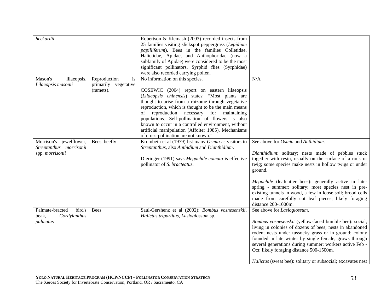| heckardii                 |                      | Robertson & Klemash (2003) recorded insects from<br>25 families visiting slickspot peppergrass (Lepidium<br>papilliferum). Bees in the families Colletidae,<br>Halictidae, Apidae, and Anthophoridae (now a<br>subfamily of Apidae) were considered to be the most<br>significant pollinators. Syrphid flies (Syrphidae)<br>were also recorded carrying pollen. |                                                                                                                                                                                                                                                             |
|---------------------------|----------------------|-----------------------------------------------------------------------------------------------------------------------------------------------------------------------------------------------------------------------------------------------------------------------------------------------------------------------------------------------------------------|-------------------------------------------------------------------------------------------------------------------------------------------------------------------------------------------------------------------------------------------------------------|
| Mason's<br>lilaeopsis,    | Reproduction<br>is   | No information on this species.                                                                                                                                                                                                                                                                                                                                 | N/A                                                                                                                                                                                                                                                         |
| Lilaeopsis masonii        | primarily vegetative |                                                                                                                                                                                                                                                                                                                                                                 |                                                                                                                                                                                                                                                             |
|                           | (ramets).            | COSEWIC (2004) report on eastern lilaeopsis                                                                                                                                                                                                                                                                                                                     |                                                                                                                                                                                                                                                             |
|                           |                      | (Lilaeopsis chinensis) states: "Most plants are                                                                                                                                                                                                                                                                                                                 |                                                                                                                                                                                                                                                             |
|                           |                      | thought to arise from a rhizome through vegetative                                                                                                                                                                                                                                                                                                              |                                                                                                                                                                                                                                                             |
|                           |                      | reproduction, which is thought to be the main means                                                                                                                                                                                                                                                                                                             |                                                                                                                                                                                                                                                             |
|                           |                      | reproduction necessary for maintaining<br>of                                                                                                                                                                                                                                                                                                                    |                                                                                                                                                                                                                                                             |
|                           |                      | populations. Self-pollination of flowers is also                                                                                                                                                                                                                                                                                                                |                                                                                                                                                                                                                                                             |
|                           |                      | known to occur in a controlled environment, without                                                                                                                                                                                                                                                                                                             |                                                                                                                                                                                                                                                             |
|                           |                      | artificial manipulation (Affolter 1985). Mechanisms                                                                                                                                                                                                                                                                                                             |                                                                                                                                                                                                                                                             |
|                           |                      | of cross-pollination are not known."                                                                                                                                                                                                                                                                                                                            |                                                                                                                                                                                                                                                             |
| Morrison's jewelflower,   | Bees, beefly         | Krombein et al (1979) list many Osmia as visitors to                                                                                                                                                                                                                                                                                                            | See above for <i>Osmia</i> and <i>Anthidium</i> .                                                                                                                                                                                                           |
| Streptanthus morrisonii   |                      | Streptanthus, also Anthidium and Dianthidium.                                                                                                                                                                                                                                                                                                                   |                                                                                                                                                                                                                                                             |
| spp. morrisonii           |                      | Dieringer (1991) says Megachile comata is effective<br>pollinator of S. bracteatus.                                                                                                                                                                                                                                                                             | Dianthidium: solitary; nests made of pebbles stuck<br>together with resin, usually on the surface of a rock or<br>twig; some species make nests in hollow twigs or under<br>ground.                                                                         |
|                           |                      |                                                                                                                                                                                                                                                                                                                                                                 | Megachile (leafcutter bees): generally active in late-<br>spring - summer; solitary; most species nest in pre-<br>existing tunnels in wood, a few in loose soil; brood cells<br>made from carefully cut leaf pieces; likely foraging<br>distance 200-1000m. |
| bird's<br>Palmate-bracted | <b>Bees</b>          | Saul-Gershenz et al (2002): Bombus vosnesenskii,                                                                                                                                                                                                                                                                                                                | See above for Lasioglossum.                                                                                                                                                                                                                                 |
| beak,<br>Cordylanthus     |                      | Halictus tripartitus, Lasioglossum sp.                                                                                                                                                                                                                                                                                                                          |                                                                                                                                                                                                                                                             |
| palmatus                  |                      |                                                                                                                                                                                                                                                                                                                                                                 | Bombus vosnesenskii (yellow-faced bumble bee): social,<br>living in colonies of dozens of bees; nests in abandoned                                                                                                                                          |
|                           |                      |                                                                                                                                                                                                                                                                                                                                                                 | rodent nests under tussocky grass or in ground; colony                                                                                                                                                                                                      |
|                           |                      |                                                                                                                                                                                                                                                                                                                                                                 | founded in late winter by single female, grows through                                                                                                                                                                                                      |
|                           |                      |                                                                                                                                                                                                                                                                                                                                                                 | several generations during summer; workers active Feb -<br>Oct; likely foraging distance 500-1500m.                                                                                                                                                         |
|                           |                      |                                                                                                                                                                                                                                                                                                                                                                 | <i>Halictus</i> (sweat bee): solitary or subsocial; excavates nest                                                                                                                                                                                          |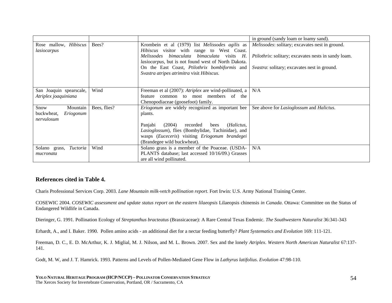|                           |              |                                                                                          | in ground (sandy loam or loamy sand).                       |
|---------------------------|--------------|------------------------------------------------------------------------------------------|-------------------------------------------------------------|
| Rose mallow, Hibiscus     | Bees?        | Krombein et al (1979) list Melissodes agilis as                                          | <i>Melissodes:</i> solitary; excavates nest in ground.      |
| lasiocarpus               |              | Hibiscus visitor with range to West Coast.<br>Melissodes bimaculata bimaculata visits H. | <i>Ptilothrix:</i> solitary; excavates nests in sandy loam. |
|                           |              | lasiocarpus, but is not found west of North Dakota.                                      |                                                             |
|                           |              | On the East Coast, Ptilothrix bombiformis and                                            | Svastra: solitary; excavates nest in ground.                |
|                           |              | Svastra atripes atrimitra visit Hibiscus.                                                |                                                             |
|                           |              |                                                                                          |                                                             |
| San Joaquin spearscale,   | Wind         | Freeman et al (2007): Atriplex are wind-pollinated, a                                    | N/A                                                         |
| Atriplex joaquiniana      |              | feature common to most members of the                                                    |                                                             |
|                           |              | Chenopodiaceae (goosefoot) family.                                                       |                                                             |
| Mountain<br>Snow          | Bees, flies? | <i>Eriogonum</i> are widely recognized as important bee                                  | See above for Lasioglossum and Halictus.                    |
| buckwheat,<br>Eriogonum   |              | plants.                                                                                  |                                                             |
| nervulosum                |              |                                                                                          |                                                             |
|                           |              | (2004)<br>recorded<br>(Halictus,<br>Panjabi<br>bees                                      |                                                             |
|                           |              | Lasioglossum), flies (Bombylidae, Tachinidae), and                                       |                                                             |
|                           |              | wasps (Euceceris) visiting Eriogonum brandegei                                           |                                                             |
|                           |              | (Brandegee wild buckwheat).                                                              |                                                             |
| Tuctoria<br>Solano grass, | Wind         | Solano grass is a member of the Poaceae. (USDA-                                          | N/A                                                         |
| mucronata                 |              | PLANTS database; last accessed 10/16/09.) Grasses                                        |                                                             |
|                           |              | are all wind pollinated.                                                                 |                                                             |

#### **References cited in Table 4.**

Charis Professional Services Corp. 2003. *Lane Mountain milk-vetch pollination report*. Fort Irwin: U.S. Army National Training Center.

COSEWIC 2004. *COSEWIC assessment and update status report on the eastern lilaeopsis* Lilaeopsis chinensis *in Canada*. Ottawa: Committee on the Status of Endangered Wildlife in Canada.

Dieringer, G. 1991. Pollination Ecology of *Streptanthus bracteatus* (Brassicaceae): A Rare Central Texas Endemic. *The Southwestern Naturalist* 36:341-343

Erhardt, A., and I. Baker. 1990. Pollen amino acids - an additional diet for a nectar feeding butterfly? *Plant Systematics and Evolution* 169: 111-121.

Freeman, D. C., E. D. McArthur, K. J. Miglial, M. J. Nilson, and M. L. Brown. 2007. Sex and the lonely *Atriplex*. *Western North American Naturalist* 67:137- 141.

Godt, M. W, and J. T. Hamrick. 1993. Patterns and Levels of Pollen-Mediated Gene Flow in *Lathyrus latifolius*. *Evolution* 47:98-110.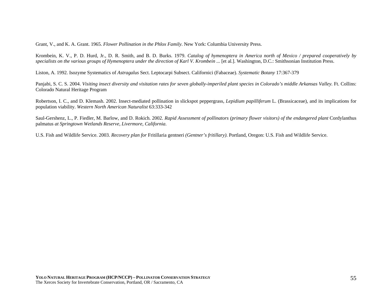Grant, V., and K. A. Grant. 1965. *Flower Pollination in the Phlox Family*. New York: Columbia University Press.

Krombein, K. V., P. D. Hurd, Jr., D. R. Smith, and B. D. Burks. 1979. *Catalog of hymenoptera in America north of Mexico / prepared cooperatively by specialists on the various groups of Hymenoptera under the direction of Karl V. Krombein ...* [et al.]. Washington, D.C.: Smithsonian Institution Press.

Liston, A. 1992. Isozyme Systematics of *Astragalus* Sect. Leptocarpi Subsect. Californici (Fabaceae). *Systematic Botany* 17:367-379

Panjabi, S. C. S. 2004. *Visiting insect diversity and visitation rates for seven globally-imperiled plant species in Colorado's middle Arkansas Valley*. Ft. Collins: Colorado Natural Heritage Program

Robertson, I. C., and D. Klemash. 2002. Insect-mediated pollination in slickspot peppergrass, *Lepidium papilliferum* L. (Brassicaceae), and its implications for population viability. *Western North American Naturalist* 63:333-342

Saul-Gershenz, L., P. Fiedler, M. Barlow, and D. Rokich. 2002. *Rapid Assessment of pollinators (primary flower visitors) of the endangered plant* Cordylanthus palmatus *at Springtown Wetlands Reserve, Livermore, California*.

U.S. Fish and Wildlife Service. 2003. *Recovery plan for* Fritillaria gentneri *(Gentner's fritillary)*. Portland, Oregon: U.S. Fish and Wildlife Service.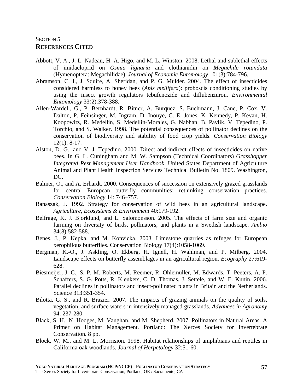## SECTION 5 **REFERENCES CITED**

- Abbott, V. A., J. L. Nadeau, H. A. Higo, and M. L. Winston. 2008. Lethal and sublethal effects of imidacloprid on *Osmia lignaria* and clothianidin on *Megachile rotundata*  (Hymenoptera: Megachilidae). *Journal of Economic Entomology* 101(3):784-796.
- Abramson, C. I., J. Squire, A. Sheridan, and P. G. Mulder. 2004. The effect of insecticides considered harmless to honey bees (*Apis mellifera*): proboscis conditioning studies by using the insect growth regulators tebufenozide and diflubenzuron. *Environmental Entomology* 33(2):378-388.
- Allen-Wardell, G., P. Bernhardt, R. Bitner, A. Burquez, S. Buchmann, J. Cane, P. Cox, V. Dalton, P. Feinsinger, M. Ingram, D. Inouye, C. E. Jones, K. Kennedy, P. Kevan, H. Koopowitz, R. Medellin, S. Medellin-Morales, G. Nabhan, B. Pavlik, V. Tepedino, P. Torchio, and S. Walker. 1998. The potential consequences of pollinator declines on the conservation of biodiversity and stability of food crop yields. *Conservation Biology* 12(1): 8-17.
- Alston, D. G., and V. J. Tepedino. 2000. Direct and indirect effects of insecticides on native bees. In G. L. Cuningham and M. W. Sampson (Technical Coordinators) *Grasshopper Integrated Pest Management User Handbook*. United States Department of Agriculture Animal and Plant Health Inspection Services Technical Bulletin No. 1809. Washington, DC.
- Balmer, O., and A. Erhardt. 2000. Consequences of succession on extensively grazed grasslands for central European butterfly communities: rethinking conservation practices. *Conservation Biology* 14: 746–757.
- Banaszak, J. 1992. Strategy for conservation of wild bees in an agricultural landscape. *Agriculture, Ecosystems & Environment* 40:179-192.
- Belfrage, K. J. Bjorklund, and L. Salomonsson. 2005. The effects of farm size and organic farming on diversity of birds, pollinators, and plants in a Swedish landscape. *Ambio* 34(8):582-588.
- Benes, J., P. Kepka, and M. Konvicka. 2003. Limestone quarries as refuges for European xerophilous butterflies. Conservation Biology 17(4):1058-1069.
- Bergman, K.-O., J. Askling, O. Ekberg, H. Ignell, H. Wahlman, and P. Milberg. 2004. Landscape effects on butterfly assemblages in an agricultural region. *Ecography* 27:619- 628.
- Biesmeijer, J. C., S. P. M. Roberts, M. Reemer, R. Ohlemüller, M. Edwards, T. Peeters, A. P. Schaffers, S. G. Potts, R. Kleukers, C. D. Thomas, J. Settele, and W. E. Kunin. 2006. Parallel declines in pollinators and insect-pollinated plants in Britain and the Netherlands. Science 313:351-354.
- Bilotta, G. S., and R. Brazier. 2007. The impacts of grazing animals on the quality of soils, vegetation, and surface waters in intensively managed grasslands. *Advances in Agronomy* 94: 237-280.
- Black, S. H., N. Hodges, M. Vaughan, and M. Shepherd. 2007. Pollinators in Natural Areas. A Primer on Habitat Management. Portland: The Xerces Society for Invertebrate Conservation. 8 pp.
- Block, W. M., and M. L. Morrision. 1998. Habitat relationships of amphibians and reptiles in California oak woodlands. *Journal of Herpetology* 32:51-60.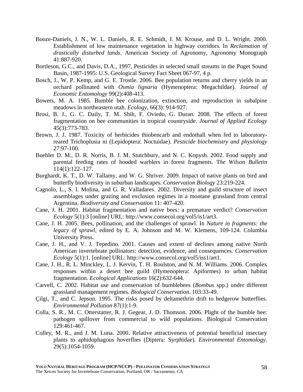- Booze-Daniels, J. N., W. L. Daniels, R. E. Schmidt, J. M. Krouse, and D. L. Wright. 2000. Establishment of low maintenance vegetation in highway corridors. In *Reclamation of drastically disturbed lands*. American Society of Agronomy, Agronomy Monograph 41:887-920.
- Bortleson, G.C., and Davis, D.A., 1997, Pesticides in selected small streams in the Puget Sound Basin, 1987-1995: U.S. Geological Survey Fact Sheet 067-97, 4 p.
- Bosch, J., W. P. Kemp, and G. E. Trostle. 2006. Bee population returns and cherry yields in an orchard pollinated with *Osmia lignaria* (Hymenoptera: Megachildae). *Journal of Economic Entomology* 99(2):408-413.
- Bowers, M. A. 1985. Bumble bee colonization, extinction, and reproduction in subalpine meadows in northeastern utah. *Ecology*, 66(3): 914-927.
- Brosi, B. J., G. C. Daily, T. M. Shih, F. Oviedo, G. Duran. 2008. The effects of forest fragmentation on bee communities in tropical countryside. *Journal of Applied Ecology* 45(3):773-783.
- Brown, J. J. 1987. Toxicity of herbicides thiobencarb and endothall when fed to laboratoryreared Trichoplusia ni (Lepidoptera: Noctuidae). *Pesticide biochemistry and physiology* 27:97-100.
- Buehler D. M., D. R. Norris, B. J. M. Stutchbury, and N. C. Kopysh. 2002. Food supply and parental feeding rates of hooded warblers in forest fragments. T*he Wilson Bulletin*  114(1):122–127.
- Burghardt, K. T., D. W. Tallamy, and W. G. Shriver. 2009. Impact of native plants on bird and butterfly biodiversity in suburban landscapes. *Conservation Biology* 23:219-224.
- Cagnolo, L., S. I. Molina, and G. R. Valladares. 2002. Diversity and guild structure of insect assemblages under grazing and exclusion regimes in a montane grassland from central Argentina. *Biodiversity and Conservation* 11: 407-420.
- Cane, J. H. 2001. Habitat fragmentation and native bees: a premature verdict? *Conservation Ecology* 5(1):3 [online] URL: http://www.consecol.org/vol5/is1/art3.
- Cane, J. H. 2005. Bees, pollination, and the challenges of sprawl. In *Nature in fragments: the legacy of sprawl*, edited by E. A. Johnson and M. W. Klemens, 109-124. Columbia University Press.
- Cane, J. H., and V. J. Tepedino. 2001. Causes and extent of declines among native North American invertebrate pollinators: detection, evidence, and consequences. *Conservation Ecology* 5(1):1. [online] URL: http://www.consecol.org/vol5/iss1/art1.
- Cane, J. H., R. L. Minckley, L. J. Kervin, T. H. Roulston, and N. M. Williams. 2006. Complex responses within a desert bee guild (Hymenoptera: Apiformes) to urban habitat fragmentation. *Ecological Applications* 16(2):632-644.
- Carvell, C. 2002. Habitat use and conservation of bumblebees (*Bombus* spp.) under different grassland management regimes. *Biological Conservation*. 103:33-49.
- Çilgi, T., and C. Jepson. 1995. The risks posed by deltamethrin drift to hedgerow butterflies. *Environmental Pollution* 87(1):1-9.
- Colla, S. R., M. C. Otterstatter, R. J. Gegear, J. D. Thomson. 2006. Plight of the bumble bee: pathogen spillover from commercial to wild populations. Biological Conservation 129:461-467.
- Colley, M. R., and J. M. Luna. 2000. Relative attractiveness of potential beneficial insectary plants to aphidophagous hoverflies (Diptera: Syrphidae). *Environmental Entomology*. 29(5):1054-1059.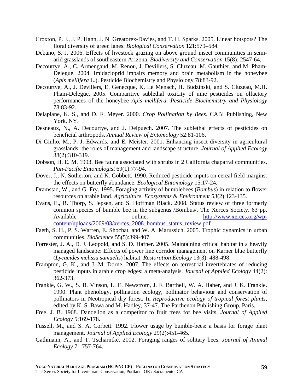- Croxton, P. J., J. P. Hann, J. N. Greatorex-Davies, and T. H. Sparks. 2005. Linear hotspots? The floral diversity of green lanes. *Biological Conservation* 121:579–584.
- Debano, S. J. 2006. Effects of livestock grazing on above ground insect communities in semiarid grasslands of southeastern Arizona. *Biodiversity and Conservation* 15(8): 2547-64.
- Decourtye, A., C. Armengaud, M. Renou, J. Devillers, S. Cluzeau, M. Gauthier, and M. Pham-Delegue. 2004. Imidacloprid impairs memory and brain metabolism in the honeybee (*Apis mellifera* L.). Pesticide Biochemistry and Physiology 78:83-92.
- Decourtye, A., J. Devillers, E. Genecque, K. Le Menach, H. Budzinski, and S. Cluzeau, M.H. Pham-Delegue. 2005. Comparitive sublethal toxicity of nine pesticides on olfactory performances of the honeybee *Apis mellifera*. *Pesticide Biochemistry and Physiology* 78:83-92.
- Delaplane, K. S., and D. F. Meyer. 2000. *Crop Pollination by Bees.* CABI Publishing, New York, NY.
- Desneaux, N., A. Decourtye, and J. Delpuech. 2007. The sublethal effects of pesticides on beneficial arthropods. *Annual Review of Entomology* 52:81-106.
- Di Giulio, M., P. J. Edwards, and E. Meister. 2001. Enhancing insect diversity in agricultural grasslands: the roles of management and landscape structure. *Journal of Applied Ecology* 38(2):310-319.
- Dobson, H. E. M. 1993. Bee fauna associated with shrubs in 2 California chaparral communities. *Pan-Pacific Entomologist* 69(1):77-94.
- Dover, J., N. Sotherton, and K. Gobbett. 1990. Reduced pesticide inputs on cereal field margins: the effects on butterfly abundance. *Ecological Entomology* 15:17-24.
- Dramstad, W., and G. Fry. 1995. Foraging activity of bumblebees (*Bombus*) in relation to flower resources on arable land. *Agriculture, Ecosystems & Environment* 53(2):123-135.
- Evans, E., R. Thorp, S. Jepsen, and S. Hoffman Black. 2008. Status review of three formerly common species of bumble bee in the subgenus /Bombus/. The Xerces Society. 63 pp. Available online: http://www.xerces.org/wpcontent/uploads/2009/03/xerces\_2008\_bombus\_status\_review.pdf
- Faeth, S. H., P. S. Warren, E. Shochat, and W. A. Marussich. 2005. Trophic dynamics in urban communities. *BioScience* 55(5):399-407.
- Forrester, J. A., D. J. Leopold, and S. D. Hafner. 2005. Maintaining critical habitat in a heavily managed landscape: Effects of power line corridor management on Karner blue butterfly (*Lycaeides melissa samuelis*) habitat. *Restoration Ecology* 13(3): 488-498.
- Frampton, G. K., and J. M. Dorne. 2007. The effects on terrestrial invertebrates of reducing pesticide inputs in arable crop edges: a meta-analysis. *Journal of Applied Ecology* 44(2): 362-373.
- Frankie, G. W., S. B. Vinson, L. E. Newstrom, J. F. Barthell, W. A. Haber, and J. K. Frankie. 1990. Plant phenology, pollination ecology, pollinator behaviour and conservation of pollinators in Neotropical dry forest. In *Reproductive ecology of tropical forest plants*, edited by K. S. Bawa and M. Hadley, 37-47. The Parthenon Publishing Group, Paris.
- Free, J. B. 1968. Dandelion as a competitor to fruit trees for bee visits. *Journal of Applied Ecology* 5:169-178.
- Fussell, M., and S. A. Corbett. 1992. Flower usage by bumble-bees: a basis for forage plant management. *Journal of Applied Ecology* 29(2):451-465.
- Gathmann, A., and T. Tscharntke. 2002. Foraging ranges of solitary bees. *Journal of Animal Ecology* 71:757-764.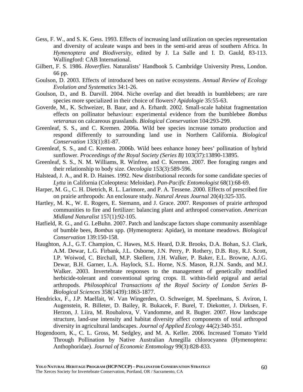- Gess, F. W., and S. K. Gess. 1993. Effects of increasing land utilization on species representation and diversity of aculeate wasps and bees in the semi-arid areas of southern Africa. In *Hymenoptera and Biodiversity*, edited by J. La Salle and I. D. Gauld, 83-113. Wallingford: CAB International.
- Gilbert, F. S. 1986. *Hoverflies*. Naturalists' Handbook 5. Cambridge University Press, London. 66 pp.
- Goulson, D. 2003. Effects of introduced bees on native ecosystems. *Annual Review of Ecology Evolution and Systematics* 34:1-26.
- Goulson, D., and B. Darvill. 2004. Niche overlap and diet breadth in bumblebees; are rare species more specialized in their choice of flowers? *Apidologie* 35:55-63.
- Goverde, M., K. Schweizer, B. Baur, and A. Erhardt. 2002. Small-scale habitat fragmentation effects on pollinator behaviour: experimental evidence from the bumblebee *Bombus veteranus* on calcareous grasslands. *Biological Conservation* 104:293-299.
- Greenleaf, S. S., and C. Kremen. 2006a. Wild bee species increase tomato production and respond differently to surrounding land use in Northern California. *Biological Conservation* 133(1):81-87.
- Greenleaf, S. S., and C. Kremen. 2006b. Wild bees enhance honey bees' pollination of hybrid sunflower. *Proceedings of the Royal Society (Series B)* 103(37):13890-13895.
- Greenleaf, S. S., N. M. Williams, R. Winfree, and C. Kremen. 2007. Bee foraging ranges and their relationship to body size. *Oecologia* 153(3):589-596.
- Halstead, J. A., and R. D. Haines. 1992. New distributional records for some candidate species of *Lytta* in California (Coleoptera: Meloidae). *Pan-Pacific Entomologist* 68(1):68-69.
- Harper, M. G., C. H. Dietrich, R. L. Larimore, and P. A. Tessene. 2000. Effects of prescribed fire on prairie arthropods: An enclosure study. *Natural Areas Journal* 20(4):325-335.
- Hartley, M. K., W. E. Rogers, E. Siemann, and J. Grace. 2007. Responses of prairie arthropod communities to fire and fertilizer: balancing plant and arthropod conservation. *American Midland Naturalist* 157(1):92-105.
- Hatfield, R. G., and G. LeBuhn. 2007. Patch and landscape factors shape community assemblage of bumble bees, *Bombus* spp. (Hymenoptera: Apidae), in montane meadows. *Biological Conservation* 139:150-158.
- Haughton, A.J., G.T. Champion, C. Hawes, M.S. Heard, D.R. Brooks, D.A. Bohan, S.J. Clark, A.M. Dewar, L.G. Firbank, J.L. Osborne, J.N. Perry, P. Rothery, D.B. Roy, R.J. Scott, I.P. Woiwod, C. Birchall, M.P. Skellern, J.H. Walker, P. Baker, E.L. Browne, A.J.G. Dewar, B.H. Garner, L.A. Haylock, S.L. Horne, N.S. Mason, R.J.N. Sands, and M.J. Walker. 2003. Invertebrate responses to the management of genetically modified herbicide-tolerant and conventional spring crops. II. within-field epigeal and aerial arthropods. *Philosophical Transactions of the Royal Society of London Series B-Biological Sciences* 358(1439):1863-1877.
- Hendrickx, F., J.P. Maelfait, W. Van Wingerden, O. Schweiger, M. Speelmans, S. Aviron, I. Augenstein, R. Billeter, D. Bailey, R. Bukacek, F. Burel, T. Diekotter, J. Dirksen, F. Herzon, J. Liira, M. Roubalova, V. Vandomme, and R. Bugter. 2007. How landscape structure, land-use intensity and habitat diversity affect components of total arthropod diversity in agricultural landscapes. *Journal of Applied Ecology* 44(2):340-351.
- Hogendoorn, K., C. L. Gross, M. Sedgley, and M. A. Keller. 2006. Increased Tomato Yield Through Pollination by Native Australian Amegilla chlorocyanea (Hymenoptera: Anthophoridae). *Journal of Economic Entomology* 99(3):828-833.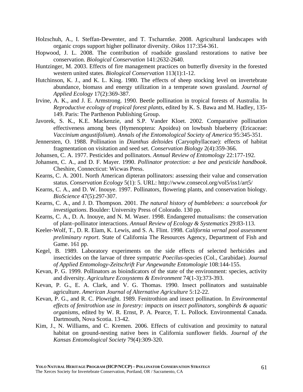- Holzschuh, A., I. Steffan-Dewenter, and T. Tscharntke. 2008. Agricultural landscapes with organic crops support higher pollinator diversity. *Oikos* 117:354-361.
- Hopwood, J. L. 2008. The contribution of roadside grassland restorations to native bee conservation. *Biological Conservation* 141:2632-2640.
- Huntzinger, M. 2003. Effects of fire management practices on butterfly diversity in the forested western united states. *Biological Conservation* 113(1):1-12.
- Hutchinson, K. J., and K. L. King. 1980. The effects of sheep stocking level on invertebrate abundance, biomass and energy utilization in a temperate sown grassland. *Journal of Applied Ecology* 17(2):369-387.
- Irvine, A. K., and J. E. Armstrong. 1990. Beetle pollination in tropical forests of Australia. In *Reproductive ecology of tropical forest plants*, edited by K. S. Bawa and M. Hadley, 135- 149. Paris: The Parthenon Publishing Group.
- Javorek, S. K., K.E. Mackenzie, and S.P. Vander Kloet. 2002. Comparative pollination effectiveness among bees (Hymenoptera: Apoidea) on lowbush blueberry (Ericaceae: *Vaccinium angustifolium*). *Annals of the Entomological Society of America* 95:345-351.
- Jennersten, O. 1988. Pollination in *Dianthus deltoides* (Caryophyllaceae): effects of habitat fragmentation on visitation and seed set. *Conservation Biology* 2(4):359-366.
- Johansen, C. A. 1977. Pesticides and pollinators. *Annual Review of Entomology* 22:177-192.
- Johansen, C. A., and D. F. Mayer. 1990. *Pollinator protection: a bee and pesticide handbook*. Cheshire, Connecticut: Wicwas Press.
- Kearns, C. A. 2001. North American dipteran pollinators: assessing their value and conservation status. *Conservation Ecology* 5(1): 5. URL: http://www.consecol.org/vol5/iss1/art5/
- Kearns, C. A., and D. W. Inouye. 1997. Pollinators, flowering plants, and conservation biology. *BioScience* 47(5):297-307.
- Kearns, C. A., and J. D. Thompson. 2001. *The natural history of bumblebees: a sourcebook for investigations*. Boulder: University Press of Colorado. 130 pp.
- Kearns, C. A., D. A. Inouye, and N. M. Waser. 1998. Endangered mutualisms: the conservation of plant–pollinator interactions. *Annual Review of Ecology & Systematics* 29:83-113.
- Keeler-Wolf, T., D. R. Elam, K. Lewis, and S. A. Flint. 1998. *California vernal pool assessment preliminary report*. State of California The Resources Agency, Department of Fish and Game. 161 pp.
- Kegel, B. 1989. Laboratory experiments on the side effects of selected herbicides and insecticides on the larvae of three sympatric *Poecilus*-species (Col., Carabidae). *Journal of Applied Entomology-Zeitschrift Fur Angewandte Entomologie* 108:144-155.
- Kevan, P. G. 1999. Pollinators as bioindicators of the state of the environment: species, activity and diversity. *Agriculture Ecosystems & Environment* 74(1-3):373-393.
- Kevan, P. G., E. A. Clark, and V. G. Thomas. 1990. Insect pollinators and sustainable agriculture. *American Journal of Alternative Agriculture* 5:12-22.
- Kevan, P. G., and R. C. Plowright. 1989. Fenitrothion and insect pollination. In *Environmental effects of fenitrothion use in forestry: impacts on insect pollinators, songbirds & aquatic organisms*, edited by W. R. Ernst, P. A. Pearce, T. L. Pollock. Environmental Canada. Dartmouth, Nova Scotia. 13-42.
- Kim, J., N. Williams, and C. Kremen. 2006. Effects of cultivation and proximity to natural habitat on ground-nesting native bees in California sunflower fields. *Journal of the Kansas Entomological Society* 79(4):309-320.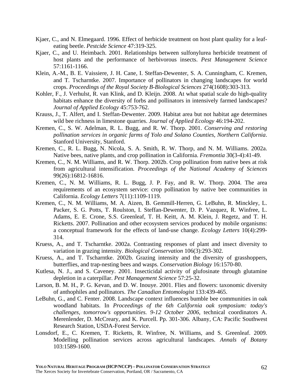- Kjaer, C., and N. Elmegaard. 1996. Effect of herbicide treatment on host plant quality for a leafeating beetle. *Pestcide Science* 47:319-325.
- Kjaer, C., and U. Heimbach. 2001. Relationships between sulfonylurea herbicide treatment of host plants and the performance of herbivorous insects. *Pest Management Science* 57:1161-1166.
- Klein, A.-M., B. E. Vaissiere, J. H. Cane, I. Steffan-Dewenter, S. A. Cunningham, C. Kremen, and T. Tscharntke. 2007. Importance of pollinators in changing landscapes for world crops. *Proceedings of the Royal Society B-Biological Sciences* 274(1608):303-313.
- Kohler, F., J. Verhulst, R. van Klink, and D. Kleijn. 2008. At what spatial scale do high-quality habitats enhance the diversity of forbs and pollinators in intensively farmed landscapes? *Journal of Applied Ecology* 45:753-762.
- Krauss, J., T. Alfert, and I. Steffan-Dewenter. 2009. Habitat area but not habitat age determines wild bee richness in limestone quarries. *Journal of Applied Ecology* 46:194-202.
- Kremen, C., S. W. Adelman, R. L. Bugg, and R. W. Thorp. 2001. *Conserving and restoring pollination services in organic farms of Yolo and Solano Counties, Northern California*. Stanford University, Stanford.
- Kremen, C., R. L. Bugg, N. Nicola, S. A. Smith, R. W. Thorp, and N. M. Williams. 2002a. Native bees, native plants, and crop pollination in California. *Fremontia* 30(3-4):41-49.
- Kremen, C., N. M. Williams, and R. W. Thorp. 2002b. Crop pollination from native bees at risk from agricultural intensification. *Proceedings of the National Academy of Sciences* 99(26):16812-16816.
- Kremen, C., N. M. Williams, R. L. Bugg, J. P. Fay, and R. W. Thorp. 2004. The area requirements of an ecosystem service: crop pollination by native bee communities in California. *Ecology Letters* 7(11):1109-1119.
- Kremen, C., N. M. Williams, M. A. Aizen, B. Gemmill-Herren, G. LeBuhn, R. Minckley, L. Packer, S. G. Potts, T. Roulston, I. Steffan-Dewenter, D. P. Vazquez, R. Winfree, L. Adams, E. E. Crone, S.S. Greenleaf, T. H. Keitt, A. M. Klein, J. Regetz, and T. H. Ricketts. 2007. Pollination and other ecosystem services produced by mobile organisms: a conceptual framework for the effects of land-use change. *Ecology Letters* 10(4):299- 314.
- Kruess, A., and T. Tscharntke. 2002a. Contrasting responses of plant and insect diversity to variation in grazing intensity. *Biological Conservation* 106(3):293-302.
- Kruess, A., and T. Tscharntke. 2002b. Grazing intensity and the diversity of grasshoppers, butterflies, and trap-nesting bees and wasps. *Conservation Biology* 16:1570-80.
- Kutlesa, N. J., and S. Caveney. 2001. Insecticidal activity of glufosinate through glutamine depletion in a caterpillar. *Pest Management Science* 57:25-32.
- Larson, B. M. H., P. G. Kevan, and D. W. Inouye. 2001. Flies and flowers: taxonomic diversity of anthophiles and pollinators. *The Canadian Entomologist* 133:439-465.
- LeBuhn, G., and C. Fenter. 2008. Landscape context influences bumble bee communities in oak woodland habitats. In *Proceedings of the 6th California oak symposium: today's challenges, tomorrow's opportunities. 9-12 October 2006*, technical coordinators A. Merenlender, D. McCreary, and K. Purcell. Pp. 301-306. Albany, CA: Pacific Southwest Research Station, USDA-Forest Service.
- Lonsdorf, E., C. Kremen, T. Ricketts, R. Winfree, N. Williams, and S. Greenleaf. 2009. Modelling pollination services across agricultural landscapes. *Annals of Botany* 103:1589-1600.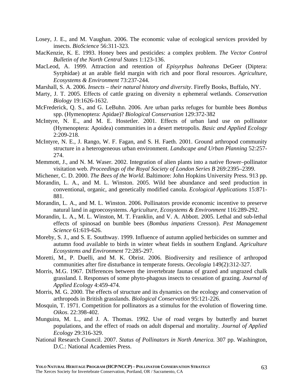- Losey, J. E., and M. Vaughan. 2006. The economic value of ecological services provided by insects. *BioScience* 56:311-323.
- MacKenzie, K. E. 1993. Honey bees and pesticides: a complex problem. *The Vector Control Bulletin of the North Central States* 1:123-136.
- MacLeod, A. 1999. Attraction and retention of *Episyrphus balteatus* DeGeer (Diptera: Syrphidae) at an arable field margin with rich and poor floral resources. *Agriculture, Ecosystems & Environment* 73:237-244.
- Marshall, S. A. 2006. *Insects their natural history and diversity*. Firefly Books, Buffalo, NY.
- Marty, J. T. 2005. Effects of cattle grazing on diversity n ephemeral wetlands. *Conservation Biology* 19:1626-1632.
- McFrederick, Q. S., and G. LeBuhn. 2006. Are urban parks refuges for bumble bees *Bombus* spp. (Hymenoptera: Apidae)? *Biological Conservation* 129:372-382
- McIntyre, N. E., and M. E. Hostetler. 2001. Effects of urban land use on pollinator (Hymenoptera: Apoidea) communities in a desert metropolis. *Basic and Applied Ecology* 2:209-218.
- McIntyre, N. E., J. Rango, W. F. Fagan, and S. H. Faeth. 2001. Ground arthropod community structure in a heterogeneous urban environment. *Landscape and Urban Planning* 52:257- 274.
- Memmott, J., and N. M. Waser. 2002. Integration of alien plants into a native flower–pollinator visitation web. *Proceedings of the Royal Society of London Series B* 269:2395–2399.
- Michener, C. D. 2000. *The Bees of the World*. Baltimore: John Hopkins University Press. 913 pp.
- Morandin, L. A., and M. L. Winston. 2005. Wild bee abundance and seed production in conventional, organic, and genetically modified canola. *Ecological Applications* 15:871- 881.
- Morandin, L. A., and M. L. Winston. 2006. Pollinators provide economic incentive to preserve natural land in agroecosystems. *Agriculture, Ecosystems & Environment* 116:289-292.
- Morandin, L. A., M. L. Winston, M. T. Franklin, and V. A. Abbott. 2005. Lethal and sub-lethal effects of spinosad on bumble bees (*Bombus impatiens* Cresson). *Pest Management Science* 61:619-626.
- Moreby, S. J., and S. E. Southway. 1999. Influence of autumn applied herbicides on summer and autumn food available to birds in winter wheat fields in southern England. *Agriculture Ecosystems and Environment* 72:285-297.
- Moretti, M., P. Duelli, and M. K. Obrist. 2006. Biodiversity and resilience of arthropod communities after fire disturbance in temperate forests. *Oecologia* 149(2):312-327.
- Morris, M.G. 1967. Differences between the invertebrate faunas of grazed and ungrazed chalk grassland. I. Responses of some phyto-phagous insects to cessation of grazing. *Journal of Applied Ecology* 4:459-474.
- Morris, M. G. 2000. The effects of structure and its dynamics on the ecology and conservation of arthropods in British grasslands. *Biological Conservation* 95:121-226.
- Mosquin, T. 1971. Competition for pollinators as a stimulus for the evolution of flowering time. *Oikos*. 22:398-402.
- Munguira, M. L., and J. A. Thomas. 1992. Use of road verges by butterfly and burnet populations, and the effect of roads on adult dispersal and mortality. *Journal of Applied Ecology* 29:316-329.
- National Research Council. 2007. *Status of Pollinators in North America.* 307 pp. Washington, D.C.: National Academies Press.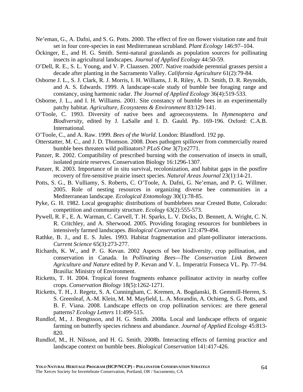- Ne'eman, G., A. Dafni, and S. G. Potts. 2000. The effect of fire on flower visitation rate and fruit set in four core-species in east Mediterranean scrubland. *Plant Ecology* 146:97–104.
- Öckinger, E., and H. G. Smith. Semi-natural grasslands as population sources for pollinating insects in agricultural landscapes. *Journal of Applied Ecology* 44:50-59.
- O'Dell, R. E., S. L. Young, and V. P. Claassen. 2007. Native roadside perennial grasses persist a decade after planting in the Sacramento Valley. *California Agriculture* 61(2):79-84.
- Osborne J. L., S. J. Clark, R. J. Morris, I. H. Williams, J. R. Riley, A. D. Smith, D. R. Reynolds, and A. S. Edwards. 1999. A landscape-scale study of bumble bee foraging range and constancy, using harmonic radar. *The Journal of Applied Ecology* 36(4):519-533.
- Osborne, J. L., and I. H. Williams. 2001. Site constancy of bumble bees in an experimentally patchy habitat. *Agriculture, Ecosystems & Environment* 83:129-141.
- O'Toole, C. 1993. Diversity of native bees and agroecosystems. In *Hymenoptera and Biodiversity*, edited by J. LaSalle and I. D. Gauld. Pp. 169-196. Oxford: C.A.B. International.
- O'Toole, C., and A. Raw. 1999. *Bees of the World*. London: Blandford. 192 pp.
- Otterstatter, M. C., and J. D. Thomson. 2008. Does pathogen spillover from commercially reared bumble bees threaten wild pollinators? *PLoS One* 3(7):e2771.
- Panzer, R. 2002. Compatibility of prescribed burning with the conservation of insects in small, isolated prairie reserves. Conservation Biology 16:1296-1307.
- Panzer, R. 2003. Importance of in situ survival, recolonization, and habitat gaps in the postfire recovery of fire-sensitive prairie insect species. *Natural Areas Journal* 23(1):14-21.
- Potts, S. G., B. Vulliamy, S. Roberts, C. O'Toole, A. Dafni, G. Ne'eman, and P. G. Willmer. 2005. Role of nesting resources in organizing diverse bee communities in a Mediterranean landscape. *Ecological Entomology* 30(1):78-85.
- Pyke, G. H. 1982. Local geographic distributions of bumblebees near Crested Butte, Colorado: competition and community structure. *Ecology* 63(2):555-573.
- Pywell, R. F., E. A. Warman, C. Carvell, T. H. Sparks, L. V. Dicks, D. Bennett, A. Wright, C. N. R. Critchley, and A. Sherwood. 2005. Providing foraging resources for bumblebees in intensively farmed landscapes. *Biological Conservation* 121:479-494.
- Rathke, B. J., and E. S. Jules. 1993. Habitat fragmentation and plant-pollinator interactions. *Current Science* 65(3):273-277.
- Richards, K. W., and P. G. Kevan. 2002 Aspects of bee biodiversity, crop pollination, and conservation in Canada. In *Pollinating Bees—The Conservation Link Between Agriculture and Nature* edited by P. Kevan and V. L. Imperatriz Fonseca VL. Pp. 77–94. Brasilia: Ministry of Environment.
- Ricketts, T. H. 2004. Tropical forest fragments enhance pollinator activity in nearby coffee crops. *Conservation Biology* 18(5):1262-1271.
- Ricketts, T. H., J. Regetz, S. A. Cunningham, C. Kremen, A. Bogdanski, B. Gemmill-Herren, S. S. Greenleaf, A.-M. Klein, M. M. Mayfield, L. A. Morandin, A. Ochieng, S. G. Potts, and B. F. Viana. 2008. Landscape effects on crop pollination services: are there general patterns? *Ecology Letters* 11:499-515.
- Rundlof, M., J. Bengtsson, and H. G. Smith. 2008a. Local and landscape effects of organic farming on butterfly species richness and abundance. *Journal of Applied Ecology* 45:813- 820.
- Rundlof, M., H. Nilsson, and H. G. Smith. 2008b. Interacting effects of farming practice and landscape context on bumble bees. *Biological Conservation* 141:417-426.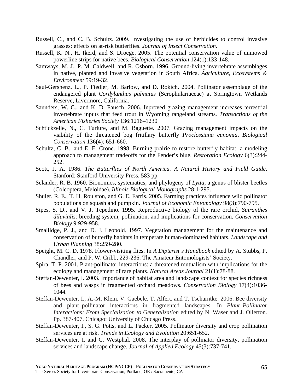- Russell, C., and C. B. Schultz. 2009. Investigating the use of herbicides to control invasive grasses: effects on at-risk butterflies. *Journal of Insect Conservation*.
- Russell, K. N., H. Ikerd, and S. Droege. 2005. The potential conservation value of unmowed powerline strips for native bees. *Biological Conservation* 124(1):133-148.
- Samways, M. J., P. M. Caldwell, and R. Osborn. 1996. Ground-living invertebrate assemblages in native, planted and invasive vegetation in South Africa. *Agriculture, Ecosystems & Environment* 59:19-32.
- Saul-Gershenz, L., P. Fiedler, M. Barlow, and D. Rokich. 2004. Pollinator assemblage of the endangered plant *Cordylanthus palmatus* (Scrophulariaceae) at Springtown Wetlands Reserve, Livermore, California.
- Saunders, W. C., and K. D. Fausch. 2006. Inproved grazing management increases terrestrial invertebrate inputs that feed trout in Wyoming rangeland streams. *Transactions of the American Fisheries Society* 136:1216–1230
- Schtickzelle, N., C. Turlure, and M. Baguette. 2007. Grazing management impacts on the viability of the threatened bog fritillary butterfly *Proclossiana eunomia*. *Biological Conservation* 136(4): 651-660.
- Schultz, C. B., and E. E. Crone. 1998. Burning prairie to restore butterfly habitat: a modeling approach to management tradeoffs for the Fender's blue. *Restoration Ecology* 6(3):244- 252.
- Scott, J. A. 1986. *The Butterflies of North America. A Natural History and Field Guide*. Stanford: Stanford University Press. 583 pp.
- Selander, R. B. 1960. Bionomics, systematics, and phylogeny of *Lytta*, a genus of blister beetles (Coleoptera, Meloidae). *Illinois Biological Monographs* 28:1-295.
- Shuler, R. E., T. H. Roulston, and G. E. Farris. 2005. Farming practices influence wild pollinator populations on squash and pumpkin. *Journal of Economic Entomology* 98(3):790-795.
- Sipes, S. D., and V. J. Tepedino. 1995. Reproductive biology of the rare orchid, *Spiranthes diluvialis*: breeding system, pollination, and implications for conservation. *Conservation Biology* 9:929-958.
- Smallidge, P. J., and D. J. Leopold. 1997. Vegetation management for the maintenance and conservation of butterfly habitats in temperate human-dominated habitats. *Landscape and Urban Planning* 38:259-280.
- Speight, M. C. D. 1978. Flower-visiting flies. In *A Dipterist's Handbook* edited by A. Stubbs, P. Chandler, and P. W. Cribb, 229-236. The Amateur Entomologists' Society.
- Spira, T. P. 2001. Plant-pollinator interactions: a threatened mutualism with implications for the ecology and management of rare plants. *Natural Areas Journal* 21(1):78-88.
- Steffan-Dewenter, I. 2003. Importance of habitat area and landscape context for species richness of bees and wasps in fragmented orchard meadows. *Conservation Biology* 17(4):1036- 1044.
- Steffan-Dewenter, I., A.-M. Klein, V. Gaebele, T. Alfert, and T. Tscharntke. 2006. Bee diversity and plant–pollinator interactions in fragmented landscapes. In *Plant–Pollinator Interactions: From Specialization to Generalization* edited by N. Waser and J. Ollerton. Pp. 387-407. Chicago: University of Chicago Press.
- Steffan-Dewenter, I., S. G. Potts, and L. Packer. 2005. Pollinator diversity and crop pollination services are at risk. *Trends in Ecology and Evolution* 20:651-652.
- Steffan-Dewenter, I. and C. Westphal. 2008. The interplay of pollinator diversity, pollination services and landscape change. *Journal of Applied Ecology* 45(3):737-741.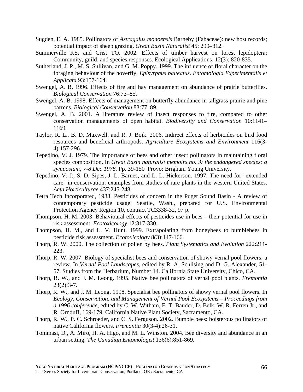- Sugden, E. A. 1985. Pollinators of *Astragalus monoensis* Barneby (Fabaceae): new host records; potential impact of sheep grazing. *Great Basin Naturalist* 45: 299–312.
- Summerville KS, and Crist TO. 2002. Effects of timber harvest on forest lepidoptera: Community, guild, and species responses. Ecological Applications, 12(3): 820-835.
- Sutherland, J. P., M. S. Sullivan, and G. M. Poppy. 1999. The influence of floral character on the foraging behaviour of the hoverfly, *Episyrphus balteatus*. *Entomologia Experimentalis et Applicata* 93:157-164.
- Swengel, A. B. 1996. Effects of fire and hay management on abundance of prairie butterflies. *Biological Conservation* 76:73–85.
- Swengel, A. B. 1998. Effects of management on butterfly abundance in tallgrass prairie and pine barrens. *Biological Conservation* 83:77–89.
- Swengel, A. B. 2001. A literature review of insect responses to fire, compared to other conservation managements of open habitat. *Biodiversity and Conservation* 10:1141– 1169.
- Taylor, R. L., B. D. Maxwell, and R. J. Boik. 2006. Indirect effects of herbicides on bird food resources and beneficial arthropods. *Agriculture Ecosystems and Environment* 116(3- 4):157-296.
- Tepedino, V. J. 1979. The importance of bees and other insect pollinators in maintaining floral species composition. In *Great Basin naturalist memoirs no. 3: the endangered species: a symposium; 7-8 Dec 1978*. Pp. 39-150 Provo: Brigham Young University.
- Tepedino, V. J., S. D. Sipes, J. L. Barnes, and L. L. Hickerson. 1997. The need for "extended care" in conservation: examples from studies of rare plants in the western United States. *Acta Horticulturae* 437:245-248.
- Tetra Tech Incorporated, 1988, Pesticides of concern in the Puget Sound Basin A review of contemporary pesticide usage: Seattle, Wash., prepared for U.S. Environmental Protection Agency Region 10, contract TC3338-32, 97 p.
- Thompson, H. M. 2003. Behavioural effects of pesticides use in bees their potential for use in risk assessment. *Ecotoxicology* 12:317-330.
- Thompson, H. M., and L. V. Hunt. 1999. Extrapolating from honeybees to bumblebees in pesticide risk assessment. *Ecotoxicology* 8(3):147-166.
- Thorp, R. W. 2000. The collection of pollen by bees. *Plant Systematics and Evolution* 222:211- 223.
- Thorp, R. W. 2007. Biology of specialist bees and conservation of showy vernal pool flowers: a review. In *Vernal Pool Landscapes*, edited by R. A. Schlising and D. G. Alexander, 51- 57. Studies from the Herbarium, Number 14. California State University, Chico, CA.
- Thorp, R. W., and J. M. Leong. 1995. Native bee pollinators of vernal pool plants. *Fremontia*  $23(2):3-7.$
- Thorp, R. W., and J. M. Leong. 1998. Specialist bee pollinators of showy vernal pool flowers. In *Ecology, Conservation, and Management of Vernal Pool Ecosystems – Proceedings from a 1996 conference*, edited by C. W. Witham, E. T. Bauder, D. Belk, W. R. Ferren Jr., and R. Ornduff, 169-179. California Native Plant Society, Sacramento, CA.
- Thorp, R. W., P. C. Schroeder, and C. S. Ferguson. 2002. Bumble bees: boisterous pollinators of native California flowers. *Fremontia* 30(3-4):26-31.
- Tommasi, D., A. Miro, H. A. Higo, and M. L. Winston. 2004. Bee diversity and abundance in an urban setting. *The Canadian Entomologist* 136(6):851-869.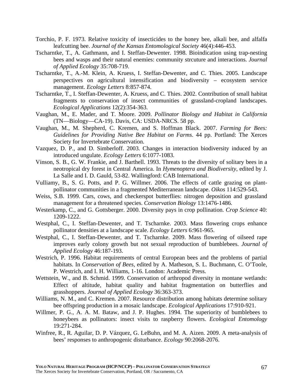- Torchio, P. F. 1973. Relative toxicity of insecticides to the honey bee, alkali bee, and alfalfa leafcutting bee. *Journal of the Kansas Entomological Society* 46(4):446-453.
- Tscharntke, T., A. Gathmann, and I. Steffan-Dewenter. 1998. Bioindication using trap-nesting bees and wasps and their natural enemies: community strcuture and interactions. *Journal of Applied Ecology* 35:708-719.
- Tscharntke, T., A.-M. Klein, A. Kruess, I. Steffan-Dewenter, and C. Thies. 2005. Landscape perspectives on agricultural intensification and biodiversity – ecosystem service management. *Ecology Letters* 8:857-874.
- Tscharntke, T., I. Steffan-Dewenter, A. Kruess, and C. Thies. 2002. Contribution of small habitat fragments to conservation of insect communities of grassland-cropland landscapes. *Ecological Applications* 12(2):354-363.
- Vaughan, M., E. Mader, and T. Moore. 2009. *Pollinator Biology and Habitat in California* (TN—Biology—CA-19). Davis, CA: USDA-NRCS. 58 pp.
- Vaughan, M., M. Shepherd, C. Kremen, and S. Hoffman Black. 2007. *Farming for Bees: Guidelines for Providing Native Bee Habitat on Farms*. 44 pp. Portland: The Xerces Society for Invertebrate Conservation.
- Vazquez, D. P., and D. Simberloff. 2003. Changes in interaction biodiversity induced by an introduced ungulate. *Ecology Letters* 6:1077-1083.
- Vinson, S. B., G. W. Frankie, and J. Barthell. 1993. Threats to the diversity of solitary bees in a neotropical dry forest in Central America. In *Hymenoptera and Biodiversity*, edited by J. La Salle and I. D. Gauld, 53-82. Wallingford: CAB International.
- Vulliamy, B., S. G. Potts, and P. G. Willmer. 2006. The effects of cattle grazing on plantpollinator communities in a fragmented Mediterranean landscape. *Oikos* 114:529-543.
- Weiss, S.B. 1999. Cars, cows, and checkerspot butterflies: nitrogen deposition and grassland management for a threatened species. *Conservation Biology* 13:1476-1486.
- Westerkamp, C., and G. Gottsberger. 2000. Diversity pays in crop pollination. *Crop Science* 40: 1209-1222.
- Westphal, C., I. Steffan-Dewenter, and T. Tscharnke. 2003. Mass flowering crops enhance pollinator densities at a landscape scale. *Ecology Letters* 6:961-965.
- Westphal, C., I. Steffan-Dewenter, and T. Tscharnke. 2009. Mass flowering of oilseed rape improves early colony growth but not sexual reproduction of bumblebees. *Journal of Applied Ecology* 46:187-193.
- Westrich, P. 1996. Habitat requirements of central European bees and the problems of partial habitats. In *Conservation of Bees*, edited by A. Matheson, S. L. Buchmann, C. O'Toole, P. Westrich, and I. H. Williams, 1-16. London: Academic Press.
- Wettstein, W., and B. Schmid. 1999. Conservation of arthropod diversity in montane wetlands: Effect of altitude, habitat quality and habitat fragmentation on butterflies and grasshoppers. *Journal of Applied Ecology* 36:363-373.
- Williams, N. M., and C. Kremen. 2007. Resource distribution among habitats determine solitary bee offspring production in a mosaic landscape. *Ecological Applications* 17:910-921.
- Willmer, P. G., A. A. M. Bataw, and J. P. Hughes. 1994. The superiority of bumblebees to honeybees as pollinators: insect visits to raspberry flowers. *Ecological Entomology* 19:271-284.
- Winfree, R., R. Aguilar, D. P. Vázquez, G. LeBuhn, and M. A. Aizen. 2009. A meta-analysis of bees' responses to anthropogenic disturbance. *Ecology* 90:2068-2076.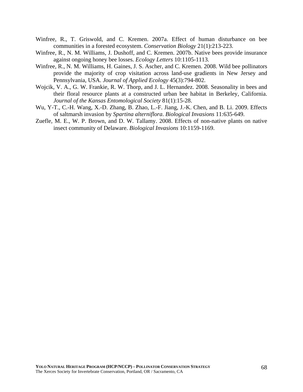- Winfree, R., T. Griswold, and C. Kremen. 2007a. Effect of human disturbance on bee communities in a forested ecosystem. *Conservation Biology* 21(1):213-223.
- Winfree, R., N. M. Williams, J. Dushoff, and C. Kremen. 2007b. Native bees provide insurance against ongoing honey bee losses. *Ecology Letters* 10:1105-1113.
- Winfree, R., N. M. Williams, H. Gaines, J. S. Ascher, and C. Kremen. 2008. Wild bee pollinators provide the majority of crop visitation across land-use gradients in New Jersey and Pennsylvania, USA. *Journal of Applied Ecology* 45(3):794-802.
- Wojcik, V. A., G. W. Frankie, R. W. Thorp, and J. L. Hernandez. 2008. Seasonality in bees and their floral resource plants at a constructed urban bee habitat in Berkeley, California. *Journal of the Kansas Entomological Society* 81(1):15-28.
- Wu, Y-T., C.-H. Wang, X.-D. Zhang, B. Zhao, L.-F. Jiang, J.-K. Chen, and B. Li. 2009. Effects of saltmarsh invasion by *Spartina alterniflora*. *Biological Invasions* 11:635-649.
- Zuefle, M. E., W. P. Brown, and D. W. Tallamy. 2008. Effects of non-native plants on native insect community of Delaware. *Biological Invasions* 10:1159-1169.